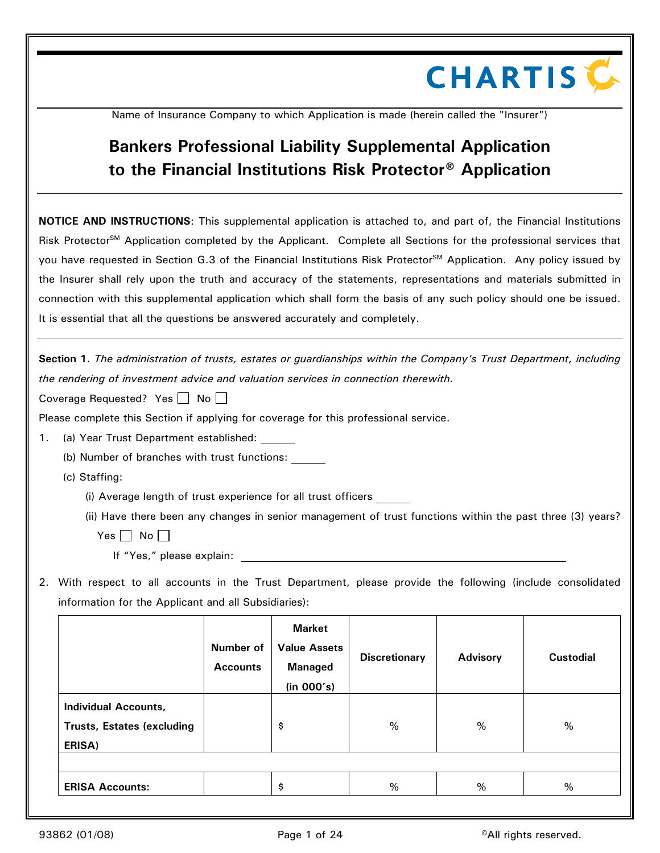## **CHARTIS C**

Name of Insurance Company to which Application is made (herein called the "Insurer")

## **Bankers Professional Liability Supplemental Application to the Financial Institutions Risk Protector**® **Application**

**NOTICE AND INSTRUCTIONS**: This supplemental application is attached to, and part of, the Financial Institutions Risk Protector<sup>SM</sup> Application completed by the Applicant. Complete all Sections for the professional services that you have requested in Section G.3 of the Financial Institutions Risk Protector<sup>SM</sup> Application. Any policy issued by the Insurer shall rely upon the truth and accuracy of the statements, representations and materials submitted in connection with this supplemental application which shall form the basis of any such policy should one be issued. It is essential that all the questions be answered accurately and completely.

**Section 1.** *The administration of trusts, estates or guardianships within the Company's Trust Department, including the rendering of investment advice and valuation services in connection therewith.*

Coverage Requested? Yes  $\Box$  No  $\Box$ 

Please complete this Section if applying for coverage for this professional service.

(a) Year Trust Department established:

(b) Number of branches with trust functions:

(c) Staffing:

(i) Average length of trust experience for all trust officers

(ii) Have there been any changes in senior management of trust functions within the past three (3) years?

Yes  $\Box$  No  $\Box$ 

If "Yes," please explain:

2. With respect to all accounts in the Trust Department, please provide the following (include consolidated information for the Applicant and all Subsidiaries):

|                                                                            | Number of<br><b>Accounts</b> | <b>Market</b><br><b>Value Assets</b><br><b>Managed</b><br>(in 000's) | <b>Discretionary</b> | <b>Advisory</b> | <b>Custodial</b> |
|----------------------------------------------------------------------------|------------------------------|----------------------------------------------------------------------|----------------------|-----------------|------------------|
| <b>Individual Accounts,</b><br><b>Trusts, Estates (excluding</b><br>ERISA) |                              | \$                                                                   | %                    | %               | %                |
| <b>ERISA Accounts:</b>                                                     |                              | \$                                                                   | %                    | %               | %                |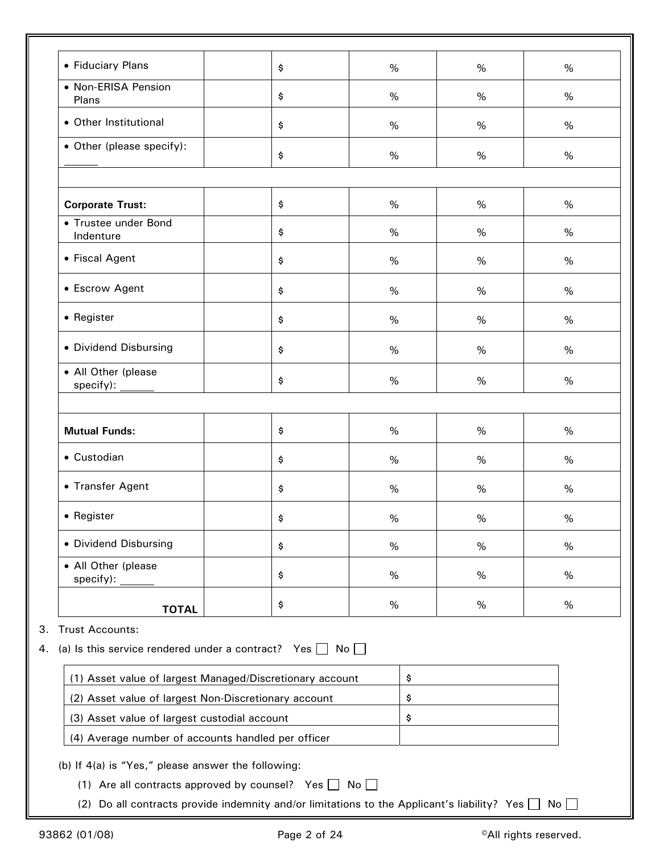| Plans<br>• Other Institutional                                                                | \$<br>\$ | %<br>% | %<br>$\%$ | %<br>% |  |  |  |
|-----------------------------------------------------------------------------------------------|----------|--------|-----------|--------|--|--|--|
| • Other (please specify):                                                                     | \$       | $\%$   | $\%$      | %      |  |  |  |
| <b>Corporate Trust:</b>                                                                       | \$       | $\%$   | $\%$      | %      |  |  |  |
| • Trustee under Bond<br>Indenture                                                             | \$       | %      | %         | %      |  |  |  |
| • Fiscal Agent                                                                                | \$       | $\%$   | %         | %      |  |  |  |
| • Escrow Agent                                                                                | \$       | %      | $\%$      | %      |  |  |  |
| • Register                                                                                    | \$       | $\%$   | $\%$      | %      |  |  |  |
| • Dividend Disbursing                                                                         | \$       | %      | $\%$      | $\%$   |  |  |  |
| • All Other (please                                                                           | \$       | $\%$   | $\%$      | %      |  |  |  |
|                                                                                               |          |        |           |        |  |  |  |
| <b>Mutual Funds:</b>                                                                          | \$       | $\%$   | $\%$      | $\%$   |  |  |  |
| • Custodian                                                                                   | \$       | %      | $\%$      | %      |  |  |  |
| • Transfer Agent                                                                              | \$       | %      | $\%$      | %      |  |  |  |
| $\bullet$ Register                                                                            | \$       | $\%$   | $\%$      | $\%$   |  |  |  |
| • Dividend Disbursing                                                                         | \$       | $\%$   | $\%$      | %      |  |  |  |
| • All Other (please<br>specify):                                                              | \$       | %      | $\%$      | $\%$   |  |  |  |
| <b>TOTAL</b>                                                                                  | \$       | $\%$   | $\%$      | $\%$   |  |  |  |
| <b>Trust Accounts:</b><br>(a) Is this service rendered under a contract? Yes $\Box$ No $\Box$ |          |        |           |        |  |  |  |
| (1) Asset value of largest Managed/Discretionary account                                      |          | \$     |           |        |  |  |  |
| (2) Asset value of largest Non-Discretionary account<br>\$                                    |          |        |           |        |  |  |  |
| (3) Asset value of largest custodial account<br>\$                                            |          |        |           |        |  |  |  |
| (4) Average number of accounts handled per officer                                            |          |        |           |        |  |  |  |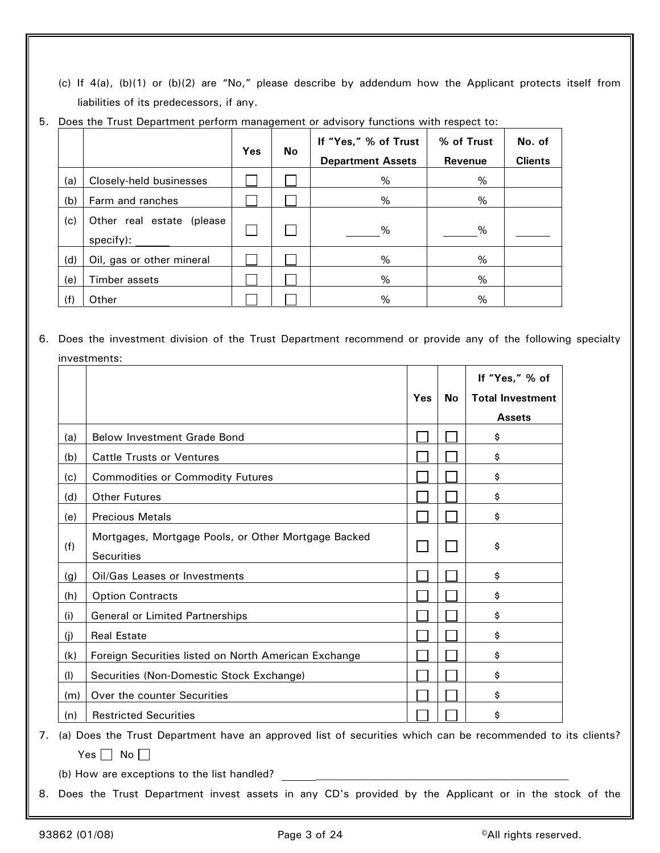(c) If 4(a), (b)(1) or (b)(2) are "No," please describe by addendum how the Applicant protects itself from liabilities of its predecessors, if any.

|     |                                        | Yes | No | If "Yes," % of Trust     | % of Trust | No. of         |
|-----|----------------------------------------|-----|----|--------------------------|------------|----------------|
|     |                                        |     |    | <b>Department Assets</b> | Revenue    | <b>Clients</b> |
| (a) | Closely-held businesses                |     |    | %                        | %          |                |
| (b) | Farm and ranches                       |     |    | %                        | %          |                |
| (c) | Other real estate (please<br>specify): |     |    | %                        | %          |                |
| (d) | Oil, gas or other mineral              |     |    | %                        | %          |                |
| (e) | Timber assets                          |     |    | %                        | %          |                |
| (f) | Other                                  |     |    | %                        | %          |                |

5. Does the Trust Department perform management or advisory functions with respect to:

6. Does the investment division of the Trust Department recommend or provide any of the following specialty investments:

|     |                                                      |     |           | If "Yes," % of          |
|-----|------------------------------------------------------|-----|-----------|-------------------------|
|     |                                                      | Yes | <b>No</b> | <b>Total Investment</b> |
|     |                                                      |     |           | <b>Assets</b>           |
| (a) | <b>Below Investment Grade Bond</b>                   |     |           | \$                      |
| (b) | <b>Cattle Trusts or Ventures</b>                     |     |           | \$                      |
| (c) | <b>Commodities or Commodity Futures</b>              |     |           | \$                      |
| (d) | <b>Other Futures</b>                                 |     |           | \$                      |
| (e) | <b>Precious Metals</b>                               |     |           | \$                      |
|     | Mortgages, Mortgage Pools, or Other Mortgage Backed  |     |           |                         |
| (f) | <b>Securities</b>                                    |     | I.        | \$                      |
| (g) | Oil/Gas Leases or Investments                        |     |           | \$                      |
| (h) | <b>Option Contracts</b>                              |     |           | \$                      |
| (i) | General or Limited Partnerships                      |     |           | \$                      |
| (j) | <b>Real Estate</b>                                   |     |           | \$                      |
| (k) | Foreign Securities listed on North American Exchange |     |           | \$                      |
| (1) | Securities (Non-Domestic Stock Exchange)             |     |           | \$                      |
| (m) | Over the counter Securities                          |     |           | \$                      |
| (n) | <b>Restricted Securities</b>                         |     |           | \$                      |

7. (a) Does the Trust Department have an approved list of securities which can be recommended to its clients? Yes  $\Box$  No  $\Box$ 

(b) How are exceptions to the list handled?

8. Does the Trust Department invest assets in any CD's provided by the Applicant or in the stock of the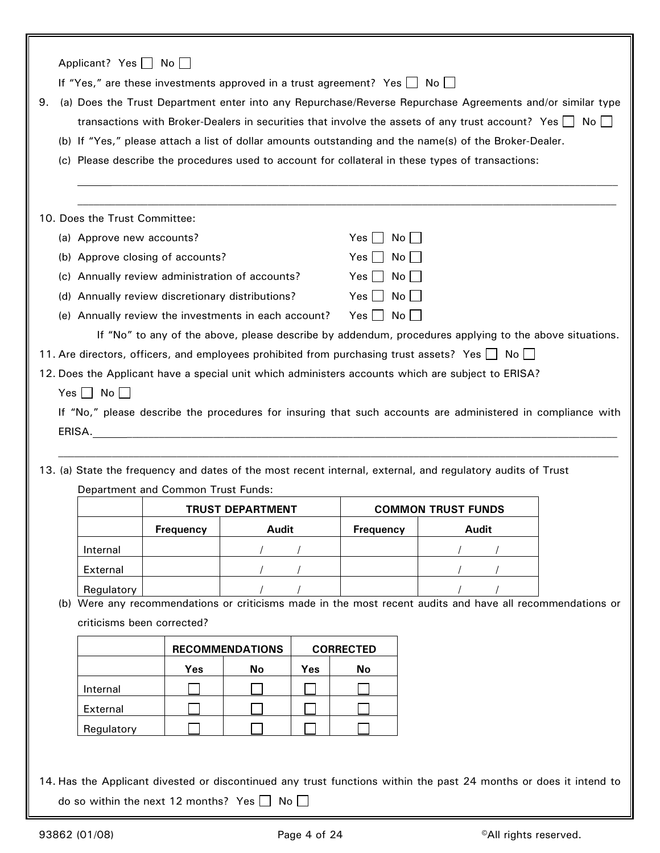|    | Applicant? Yes     No              |                  | If "Yes," are these investments approved in a trust agreement? Yes No |     |                              |                           |                                                                                                                                                                                                                                                                                                                                          |  |
|----|------------------------------------|------------------|-----------------------------------------------------------------------|-----|------------------------------|---------------------------|------------------------------------------------------------------------------------------------------------------------------------------------------------------------------------------------------------------------------------------------------------------------------------------------------------------------------------------|--|
| 9. |                                    |                  |                                                                       |     |                              |                           | (a) Does the Trust Department enter into any Repurchase/Reverse Repurchase Agreements and/or similar type<br>transactions with Broker-Dealers in securities that involve the assets of any trust account? Yes $\Box$ No $\Box$<br>(b) If "Yes," please attach a list of dollar amounts outstanding and the name(s) of the Broker-Dealer. |  |
|    |                                    |                  |                                                                       |     |                              |                           | (c) Please describe the procedures used to account for collateral in these types of transactions:                                                                                                                                                                                                                                        |  |
|    | 10. Does the Trust Committee:      |                  |                                                                       |     |                              |                           |                                                                                                                                                                                                                                                                                                                                          |  |
|    | (a) Approve new accounts?          |                  |                                                                       |     | Yes     No                   |                           |                                                                                                                                                                                                                                                                                                                                          |  |
|    | (b) Approve closing of accounts?   |                  |                                                                       |     | $Yes \mid \mid No \mid \mid$ |                           |                                                                                                                                                                                                                                                                                                                                          |  |
|    |                                    |                  | (c) Annually review administration of accounts?                       |     | $Yes \mid No \mid$           |                           |                                                                                                                                                                                                                                                                                                                                          |  |
|    |                                    |                  | (d) Annually review discretionary distributions?                      |     | $Yes \mid \mid No \mid \mid$ |                           |                                                                                                                                                                                                                                                                                                                                          |  |
|    |                                    |                  | (e) Annually review the investments in each account?                  |     | $Yes \Box No \Box$           |                           |                                                                                                                                                                                                                                                                                                                                          |  |
|    |                                    |                  |                                                                       |     |                              |                           | If "No" to any of the above, please describe by addendum, procedures applying to the above situations.                                                                                                                                                                                                                                   |  |
|    |                                    |                  |                                                                       |     |                              |                           | 11. Are directors, officers, and employees prohibited from purchasing trust assets? Yes $\Box$ No $\Box$                                                                                                                                                                                                                                 |  |
|    |                                    |                  |                                                                       |     |                              |                           | 12. Does the Applicant have a special unit which administers accounts which are subject to ERISA?                                                                                                                                                                                                                                        |  |
|    | Yes $\Box$ No $\Box$               |                  |                                                                       |     |                              |                           |                                                                                                                                                                                                                                                                                                                                          |  |
|    |                                    |                  |                                                                       |     |                              |                           | If "No," please describe the procedures for insuring that such accounts are administered in compliance with                                                                                                                                                                                                                              |  |
|    |                                    |                  |                                                                       |     |                              |                           |                                                                                                                                                                                                                                                                                                                                          |  |
|    |                                    |                  |                                                                       |     |                              |                           |                                                                                                                                                                                                                                                                                                                                          |  |
|    |                                    |                  |                                                                       |     |                              |                           | 13. (a) State the frequency and dates of the most recent internal, external, and regulatory audits of Trust                                                                                                                                                                                                                              |  |
|    | Department and Common Trust Funds: |                  |                                                                       |     |                              |                           |                                                                                                                                                                                                                                                                                                                                          |  |
|    |                                    |                  | <b>TRUST DEPARTMENT</b>                                               |     |                              | <b>COMMON TRUST FUNDS</b> |                                                                                                                                                                                                                                                                                                                                          |  |
|    |                                    | <b>Frequency</b> | <b>Audit</b>                                                          |     | <b>Frequency</b>             |                           | Audit                                                                                                                                                                                                                                                                                                                                    |  |
|    | Internal                           |                  |                                                                       |     |                              |                           |                                                                                                                                                                                                                                                                                                                                          |  |
|    | External                           |                  |                                                                       |     |                              |                           |                                                                                                                                                                                                                                                                                                                                          |  |
|    | Regulatory                         |                  |                                                                       |     |                              |                           |                                                                                                                                                                                                                                                                                                                                          |  |
|    |                                    |                  |                                                                       |     |                              |                           | (b) Were any recommendations or criticisms made in the most recent audits and have all recommendations or                                                                                                                                                                                                                                |  |
|    | criticisms been corrected?         |                  |                                                                       |     |                              |                           |                                                                                                                                                                                                                                                                                                                                          |  |
|    |                                    |                  | <b>RECOMMENDATIONS</b>                                                |     | <b>CORRECTED</b>             |                           |                                                                                                                                                                                                                                                                                                                                          |  |
|    |                                    | Yes              | No                                                                    | Yes | No                           |                           |                                                                                                                                                                                                                                                                                                                                          |  |
|    | Internal                           |                  |                                                                       |     |                              |                           |                                                                                                                                                                                                                                                                                                                                          |  |
|    | External                           |                  |                                                                       |     |                              |                           |                                                                                                                                                                                                                                                                                                                                          |  |
|    | Regulatory                         |                  |                                                                       |     |                              |                           |                                                                                                                                                                                                                                                                                                                                          |  |
|    |                                    |                  |                                                                       |     |                              |                           |                                                                                                                                                                                                                                                                                                                                          |  |
|    |                                    |                  |                                                                       |     |                              |                           | 14. Has the Applicant divested or discontinued any trust functions within the past 24 months or does it intend to                                                                                                                                                                                                                        |  |

do so within the next 12 months? Yes  $\Box$  No  $\Box$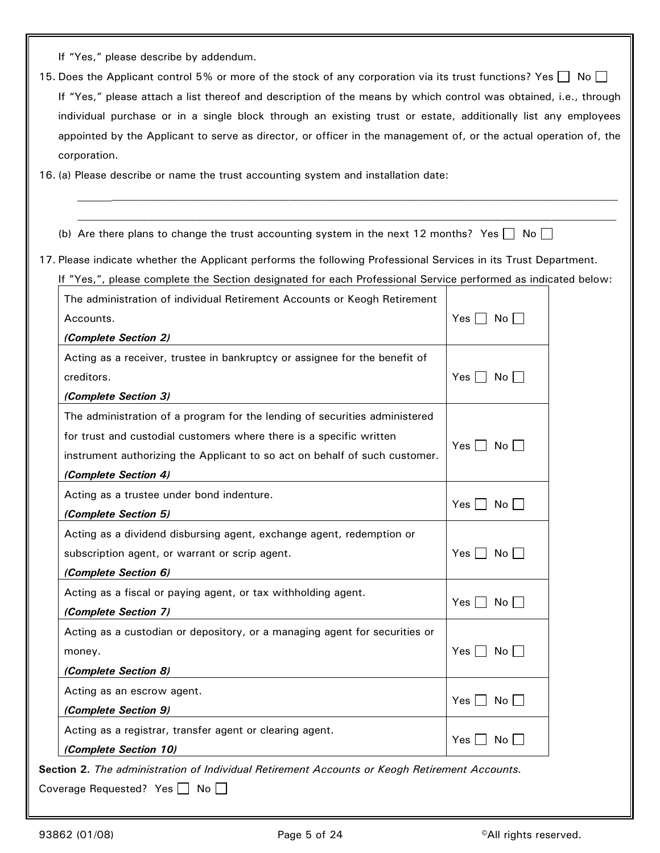If "Yes," please describe by addendum.

15. Does the Applicant control 5% or more of the stock of any corporation via its trust functions? Yes  $\Box$  No  $\Box$ If "Yes," please attach a list thereof and description of the means by which control was obtained, i.e., through individual purchase or in a single block through an existing trust or estate, additionally list any employees appointed by the Applicant to serve as director, or officer in the management of, or the actual operation of, the corporation.

16. (a) Please describe or name the trust accounting system and installation date:

## (b) Are there plans to change the trust accounting system in the next 12 months? Yes  $\Box$  No  $\Box$

17. Please indicate whether the Applicant performs the following Professional Services in its Trust Department.

If "Yes,", please complete the Section designated for each Professional Service performed as indicated below:

 $\mathcal{L}_\text{max} = \mathcal{L}_\text{max} = \mathcal{L}_\text{max} = \mathcal{L}_\text{max} = \mathcal{L}_\text{max} = \mathcal{L}_\text{max} = \mathcal{L}_\text{max} = \mathcal{L}_\text{max} = \mathcal{L}_\text{max} = \mathcal{L}_\text{max} = \mathcal{L}_\text{max} = \mathcal{L}_\text{max} = \mathcal{L}_\text{max} = \mathcal{L}_\text{max} = \mathcal{L}_\text{max} = \mathcal{L}_\text{max} = \mathcal{L}_\text{max} = \mathcal{L}_\text{max} = \mathcal{$ 

| The administration of individual Retirement Accounts or Keogh Retirement   |                       |
|----------------------------------------------------------------------------|-----------------------|
| Accounts.                                                                  | Yes     No            |
| (Complete Section 2)                                                       |                       |
| Acting as a receiver, trustee in bankruptcy or assignee for the benefit of |                       |
| creditors.                                                                 | Yes     No            |
| (Complete Section 3)                                                       |                       |
| The administration of a program for the lending of securities administered |                       |
| for trust and custodial customers where there is a specific written        |                       |
| instrument authorizing the Applicant to so act on behalf of such customer. | Yes     No            |
| (Complete Section 4)                                                       |                       |
| Acting as a trustee under bond indenture.                                  |                       |
| (Complete Section 5)                                                       | Yes    <br>No l       |
| Acting as a dividend disbursing agent, exchange agent, redemption or       |                       |
| subscription agent, or warrant or scrip agent.                             | $Yes$    <br>No       |
| (Complete Section 6)                                                       |                       |
| Acting as a fiscal or paying agent, or tax withholding agent.              |                       |
| (Complete Section 7)                                                       | Yes    <br>No         |
| Acting as a custodian or depository, or a managing agent for securities or |                       |
| money.                                                                     | No<br>$Yes \mid \mid$ |
| (Complete Section 8)                                                       |                       |
| Acting as an escrow agent.                                                 |                       |
| (Complete Section 9)                                                       | $Yes \mid \mid$<br>No |
| Acting as a registrar, transfer agent or clearing agent.                   |                       |
| (Complete Section 10)                                                      | $Yes$ $\Box$<br>No    |

Coverage Requested? Yes  $\Box$  No  $\Box$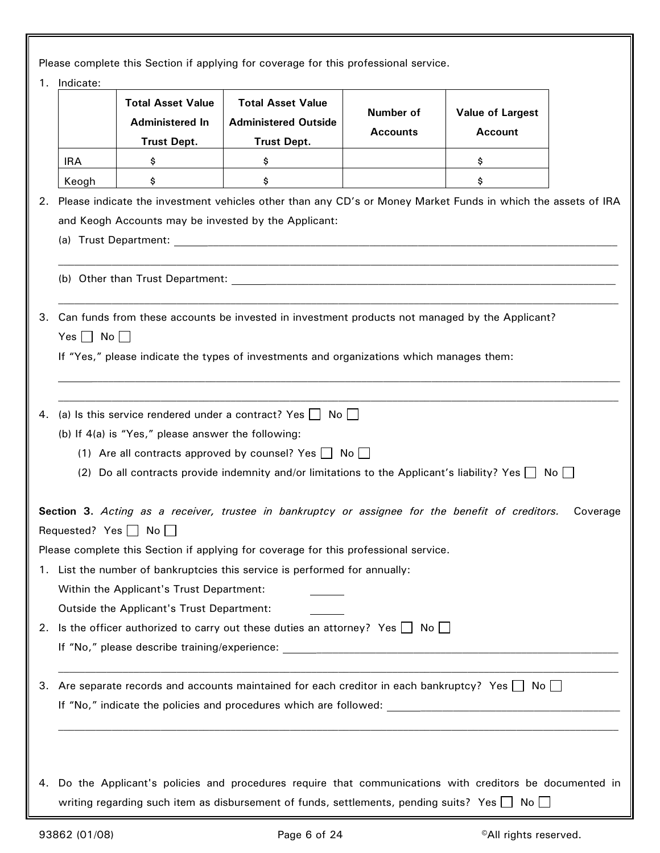Please complete this Section if applying for coverage for this professional service.

|                            | <b>Total Asset Value</b><br><b>Administered In</b><br><b>Trust Dept.</b> | <b>Total Asset Value</b><br><b>Administered Outside</b><br><b>Trust Dept.</b>                                                                                                                                                                          | Number of<br><b>Accounts</b> | <b>Value of Largest</b><br><b>Account</b> |          |
|----------------------------|--------------------------------------------------------------------------|--------------------------------------------------------------------------------------------------------------------------------------------------------------------------------------------------------------------------------------------------------|------------------------------|-------------------------------------------|----------|
| <b>IRA</b>                 | \$                                                                       | \$                                                                                                                                                                                                                                                     |                              | \$                                        |          |
| Keogh                      | \$                                                                       | \$                                                                                                                                                                                                                                                     |                              | \$                                        |          |
| 2.                         | and Keogh Accounts may be invested by the Applicant:                     | Please indicate the investment vehicles other than any CD's or Money Market Funds in which the assets of IRA                                                                                                                                           |                              |                                           |          |
| З.<br>Yes $\Box$ No $\Box$ |                                                                          | Can funds from these accounts be invested in investment products not managed by the Applicant?<br>If "Yes," please indicate the types of investments and organizations which manages them:                                                             |                              |                                           |          |
| 4.                         | (b) If 4(a) is "Yes," please answer the following:                       | (a) Is this service rendered under a contract? Yes $\Box$ No $\Box$<br>(1) Are all contracts approved by counsel? Yes $\Box$ No $\Box$<br>(2) Do all contracts provide indemnity and/or limitations to the Applicant's liability? Yes $\Box$ No $\Box$ |                              |                                           |          |
|                            |                                                                          | Section 3. Acting as a receiver, trustee in bankruptcy or assignee for the benefit of creditors.                                                                                                                                                       |                              |                                           | Coverage |
|                            | Requested? Yes $\Box$ No                                                 | Please complete this Section if applying for coverage for this professional service.                                                                                                                                                                   |                              |                                           |          |
|                            |                                                                          | 1. List the number of bankruptcies this service is performed for annually:                                                                                                                                                                             |                              |                                           |          |
|                            | Within the Applicant's Trust Department:                                 |                                                                                                                                                                                                                                                        |                              |                                           |          |
|                            | Outside the Applicant's Trust Department:                                |                                                                                                                                                                                                                                                        |                              |                                           |          |
|                            |                                                                          | 2. Is the officer authorized to carry out these duties an attorney? Yes $\Box$ No $\Box$                                                                                                                                                               |                              |                                           |          |
|                            |                                                                          |                                                                                                                                                                                                                                                        |                              |                                           |          |
| З.                         |                                                                          | Are separate records and accounts maintained for each creditor in each bankruptcy? Yes $\Box$ No $\Box$                                                                                                                                                |                              |                                           |          |
| 4.                         |                                                                          | Do the Applicant's policies and procedures require that communications with creditors be documented in<br>writing regarding such item as disbursement of funds, settlements, pending suits? Yes $\Box$                                                 |                              | No                                        |          |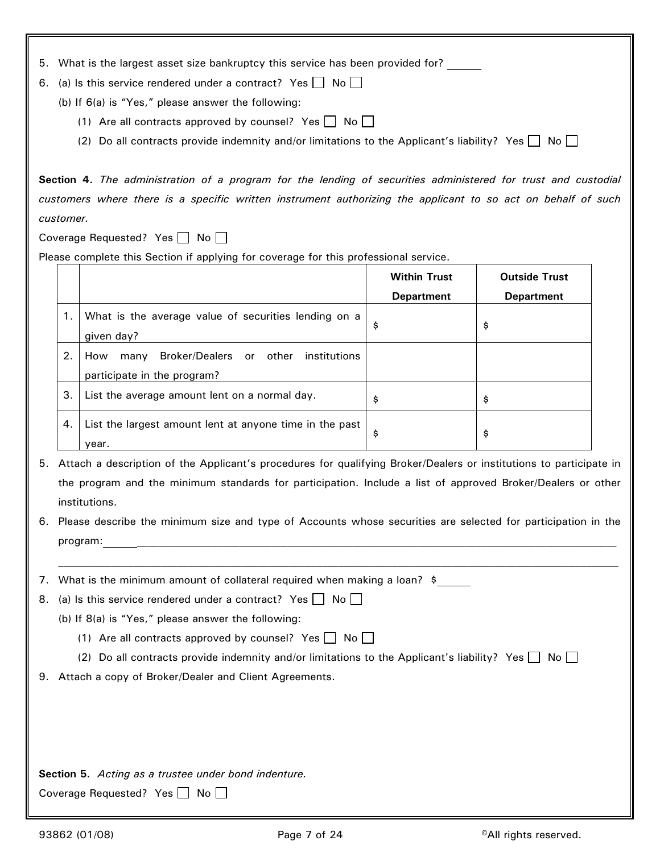|  |  | 5. What is the largest asset size bankruptcy this service has been provided for? |  |
|--|--|----------------------------------------------------------------------------------|--|
|--|--|----------------------------------------------------------------------------------|--|

- 6. (a) Is this service rendered under a contract? Yes  $\Box$  No  $\Box$ 
	- (b) If 6(a) is "Yes," please answer the following:
		- (1) Are all contracts approved by counsel? Yes  $\Box$  No  $\Box$
		- (2) Do all contracts provide indemnity and/or limitations to the Applicant's liability? Yes  $\Box$  No  $\Box$

**Section 4.** *The administration of a program for the lending of securities administered for trust and custodial customers where there is a specific written instrument authorizing the applicant to so act on behalf of such customer.* 

Coverage Requested? Yes  $\Box$  No  $\Box$ 

Please complete this Section if applying for coverage for this professional service.

|    |                                                                                                        | <b>Within Trust</b><br><b>Department</b> | <b>Outside Trust</b><br><b>Department</b> |
|----|--------------------------------------------------------------------------------------------------------|------------------------------------------|-------------------------------------------|
| 1. | What is the average value of securities lending on a                                                   | \$                                       | \$                                        |
| 2. | given day?<br>Broker/Dealers or<br>institutions<br>other<br>How<br>many<br>participate in the program? |                                          |                                           |
| 3. | List the average amount lent on a normal day.                                                          | \$                                       | \$                                        |
| 4. | List the largest amount lent at anyone time in the past<br>year.                                       | \$                                       | \$                                        |

- 5. Attach a description of the Applicant's procedures for qualifying Broker/Dealers or institutions to participate in the program and the minimum standards for participation. Include a list of approved Broker/Dealers or other institutions.
- 6. Please describe the minimum size and type of Accounts whose securities are selected for participation in the program: \_\_\_\_\_\_\_\_\_\_\_\_\_\_\_\_\_\_\_\_\_\_\_\_\_\_\_\_\_\_\_\_\_\_\_\_\_\_\_\_\_\_\_\_\_\_\_\_\_\_\_\_\_\_\_\_\_\_\_\_\_\_\_\_\_\_\_\_\_\_\_\_\_\_\_\_\_\_\_\_\_\_\_\_\_\_\_\_\_

 $\mathcal{L}_\text{max} = \mathcal{L}_\text{max} = \mathcal{L}_\text{max} = \mathcal{L}_\text{max} = \mathcal{L}_\text{max} = \mathcal{L}_\text{max} = \mathcal{L}_\text{max} = \mathcal{L}_\text{max} = \mathcal{L}_\text{max} = \mathcal{L}_\text{max} = \mathcal{L}_\text{max} = \mathcal{L}_\text{max} = \mathcal{L}_\text{max} = \mathcal{L}_\text{max} = \mathcal{L}_\text{max} = \mathcal{L}_\text{max} = \mathcal{L}_\text{max} = \mathcal{L}_\text{max} = \mathcal{$ 

7. What is the minimum amount of collateral required when making a loan? \$

8. (a) Is this service rendered under a contract? Yes  $\Box$  No  $\Box$ 

- (b) If 8(a) is "Yes," please answer the following:
	- (1) Are all contracts approved by counsel? Yes  $\Box$  No  $\Box$
	- (2) Do all contracts provide indemnity and/or limitations to the Applicant's liability? Yes  $\Box$  No  $\Box$
- 9. Attach a copy of Broker/Dealer and Client Agreements.

**Section 5.** *Acting as a trustee under bond indenture.*

Coverage Requested? Yes  $\Box$  No  $\Box$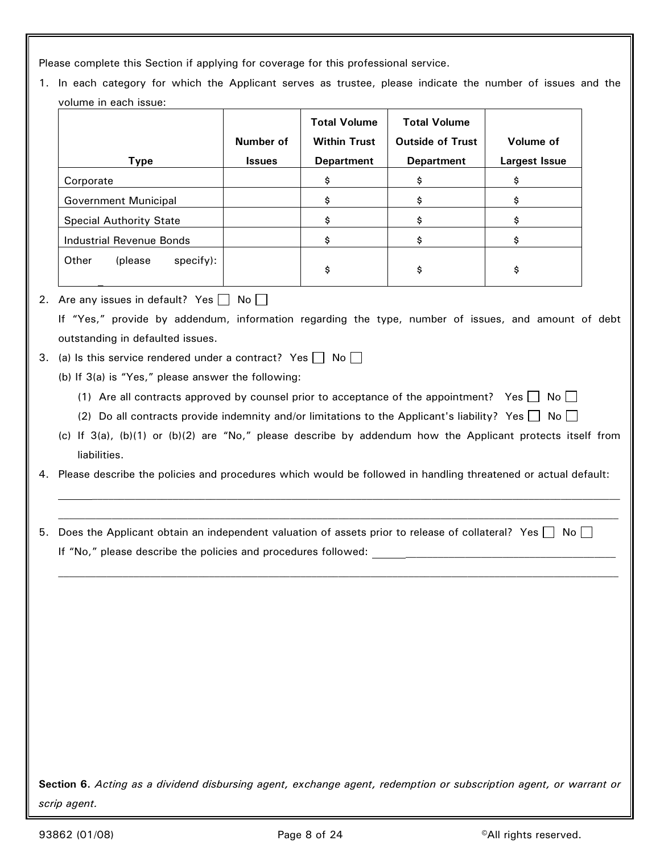Please complete this Section if applying for coverage for this professional service.

1. In each category for which the Applicant serves as trustee, please indicate the number of issues and the volume in each issue:

|                                | Number of     | <b>Total Volume</b><br><b>Within Trust</b> | <b>Total Volume</b><br><b>Outside of Trust</b> | Volume of     |
|--------------------------------|---------------|--------------------------------------------|------------------------------------------------|---------------|
| <b>Type</b>                    | <b>Issues</b> | <b>Department</b>                          | <b>Department</b>                              | Largest Issue |
| Corporate                      |               | \$                                         | \$                                             | \$            |
| Government Municipal           |               | \$                                         | \$                                             | \$            |
| <b>Special Authority State</b> |               | Ş                                          | Ş                                              | \$            |
| Industrial Revenue Bonds       |               | \$                                         | \$                                             | \$            |
| Other<br>specify):<br>(please) |               | \$                                         | \$                                             | \$            |

## 2. Are any issues in default? Yes  $\Box$  No  $\Box$ If "Yes," provide by addendum, information regarding the type, number of issues, and amount of debt outstanding in defaulted issues.

- 3. (a) Is this service rendered under a contract? Yes  $\Box$  No  $\Box$ 
	- (b) If 3(a) is "Yes," please answer the following:
		- (1) Are all contracts approved by counsel prior to acceptance of the appointment? Yes  $\Box$  No  $\Box$
		- (2) Do all contracts provide indemnity and/or limitations to the Applicant's liability? Yes  $\Box$  No  $\Box$
	- (c) If 3(a), (b)(1) or (b)(2) are "No," please describe by addendum how the Applicant protects itself from liabilities.
- 4. Please describe the policies and procedures which would be followed in handling threatened or actual default:
- 5. Does the Applicant obtain an independent valuation of assets prior to release of collateral? Yes  $\Box$  No  $\Box$ If "No," please describe the policies and procedures followed:

**Section 6.** *Acting as a dividend disbursing agent, exchange agent, redemption or subscription agent, or warrant or scrip agent.*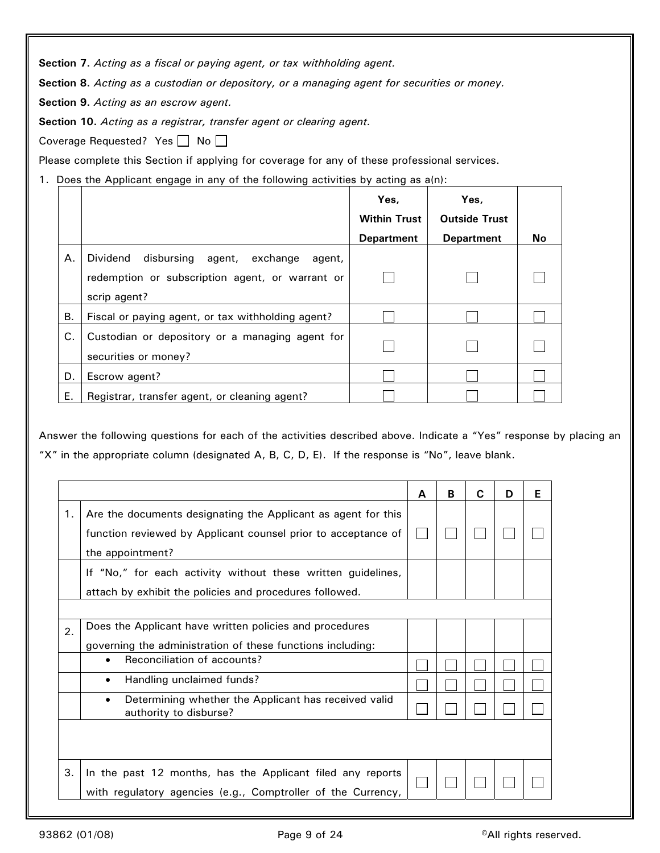**Section 7.** *Acting as a fiscal or paying agent, or tax withholding agent.*

**Section 8.** *Acting as a custodian or depository, or a managing agent for securities or money.*

**Section 9.** *Acting as an escrow agent.*

**Section 10.** *Acting as a registrar, transfer agent or clearing agent.*

Coverage Requested? Yes  $\Box$  No  $\Box$ 

Please complete this Section if applying for coverage for any of these professional services.

1. Does the Applicant engage in any of the following activities by acting as  $a(n)$ :

|    |                                                                                                                     | Yes,                | Yes.                 |    |
|----|---------------------------------------------------------------------------------------------------------------------|---------------------|----------------------|----|
|    |                                                                                                                     | <b>Within Trust</b> | <b>Outside Trust</b> |    |
|    |                                                                                                                     | <b>Department</b>   | <b>Department</b>    | No |
| Α. | Dividend disbursing<br>agent, exchange<br>agent,<br>redemption or subscription agent, or warrant or<br>scrip agent? |                     |                      |    |
| В. | Fiscal or paying agent, or tax withholding agent?                                                                   |                     |                      |    |
| C. | Custodian or depository or a managing agent for<br>securities or money?                                             |                     |                      |    |
| D. | Escrow agent?                                                                                                       |                     |                      |    |
| Е. | Registrar, transfer agent, or cleaning agent?                                                                       |                     |                      |    |

Answer the following questions for each of the activities described above. Indicate a "Yes" response by placing an "X" in the appropriate column (designated A, B, C, D, E). If the response is "No", leave blank.

|    |                                                                                                                                                    | A | В | C | D | Е |
|----|----------------------------------------------------------------------------------------------------------------------------------------------------|---|---|---|---|---|
| 1. | Are the documents designating the Applicant as agent for this<br>function reviewed by Applicant counsel prior to acceptance of<br>the appointment? |   |   |   |   |   |
|    | If "No," for each activity without these written guidelines,<br>attach by exhibit the policies and procedures followed.                            |   |   |   |   |   |
| 2. | Does the Applicant have written policies and procedures<br>governing the administration of these functions including:                              |   |   |   |   |   |
|    | Reconciliation of accounts?<br>$\bullet$                                                                                                           |   |   |   |   |   |
|    | Handling unclaimed funds?<br>$\bullet$                                                                                                             |   |   |   |   |   |
|    | Determining whether the Applicant has received valid<br>$\bullet$<br>authority to disburse?                                                        |   |   |   |   |   |
|    |                                                                                                                                                    |   |   |   |   |   |
| 3. | In the past 12 months, has the Applicant filed any reports<br>with regulatory agencies (e.g., Comptroller of the Currency,                         |   |   |   |   |   |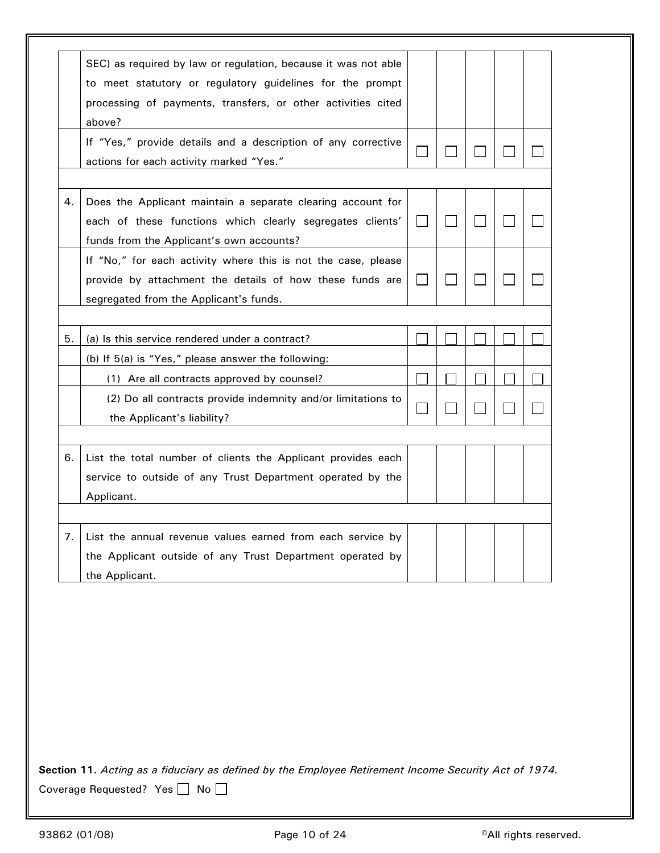|    | SEC) as required by law or regulation, because it was not able |                             |  |  |
|----|----------------------------------------------------------------|-----------------------------|--|--|
|    | to meet statutory or regulatory guidelines for the prompt      |                             |  |  |
|    | processing of payments, transfers, or other activities cited   |                             |  |  |
|    | above?                                                         |                             |  |  |
|    | If "Yes," provide details and a description of any corrective  |                             |  |  |
|    | actions for each activity marked "Yes."                        |                             |  |  |
| 4. | Does the Applicant maintain a separate clearing account for    |                             |  |  |
|    | each of these functions which clearly segregates clients'      | $\mathbf{I}$                |  |  |
|    | funds from the Applicant's own accounts?                       |                             |  |  |
|    | If "No," for each activity where this is not the case, please  |                             |  |  |
|    | provide by attachment the details of how these funds are       | $\mathcal{L}_{\mathcal{L}}$ |  |  |
|    | segregated from the Applicant's funds.                         |                             |  |  |
|    |                                                                |                             |  |  |
| 5. | (a) Is this service rendered under a contract?                 |                             |  |  |
|    | (b) If 5(a) is "Yes," please answer the following:             |                             |  |  |
|    | (1) Are all contracts approved by counsel?                     |                             |  |  |
|    | (2) Do all contracts provide indemnity and/or limitations to   |                             |  |  |
|    | the Applicant's liability?                                     |                             |  |  |
| 6. | List the total number of clients the Applicant provides each   |                             |  |  |
|    | service to outside of any Trust Department operated by the     |                             |  |  |
|    | Applicant.                                                     |                             |  |  |
|    |                                                                |                             |  |  |
| 7. | List the annual revenue values earned from each service by     |                             |  |  |
|    | the Applicant outside of any Trust Department operated by      |                             |  |  |
|    | the Applicant.                                                 |                             |  |  |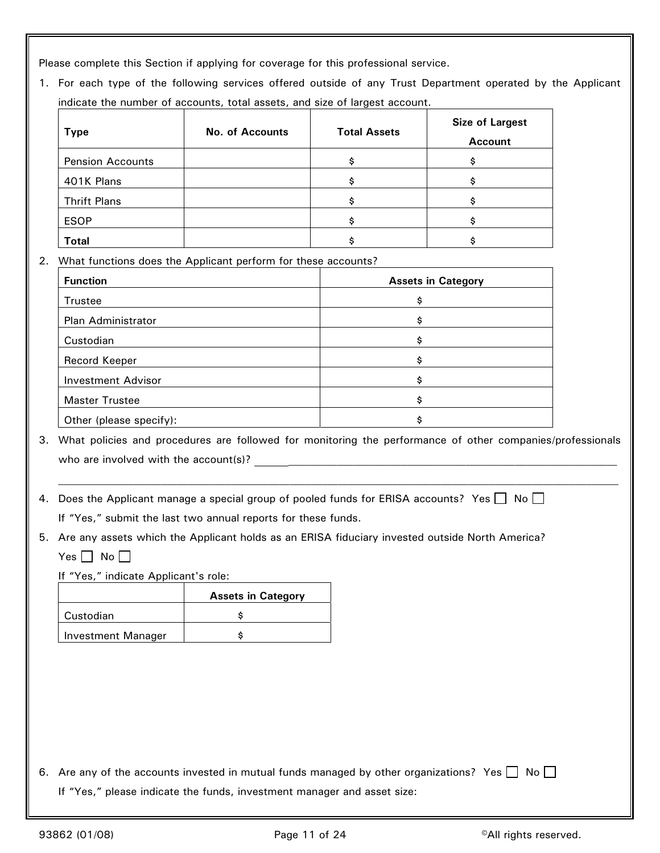Please complete this Section if applying for coverage for this professional service.

1. For each type of the following services offered outside of any Trust Department operated by the Applicant indicate the number of accounts, total assets, and size of largest account.

| <b>Type</b>             | <b>No. of Accounts</b> | <b>Total Assets</b> | <b>Size of Largest</b><br><b>Account</b> |
|-------------------------|------------------------|---------------------|------------------------------------------|
| <b>Pension Accounts</b> |                        |                     |                                          |
| 401K Plans              |                        |                     |                                          |
| <b>Thrift Plans</b>     |                        |                     |                                          |
| <b>ESOP</b>             |                        |                     |                                          |
| <b>Total</b>            |                        |                     |                                          |

2. What functions does the Applicant perform for these accounts?

| <b>Function</b>           | <b>Assets in Category</b> |
|---------------------------|---------------------------|
| Trustee                   | Ś                         |
| Plan Administrator        | s                         |
| Custodian                 | Ś                         |
| Record Keeper             | Ś                         |
| <b>Investment Advisor</b> | Ś                         |
| <b>Master Trustee</b>     | Ś                         |
| Other (please specify):   |                           |

3. What policies and procedures are followed for monitoring the performance of other companies/professionals who are involved with the account(s)? \_\_\_\_\_\_\_\_\_\_\_\_\_\_\_\_\_\_\_\_\_\_\_\_\_\_\_\_\_\_\_\_\_\_\_\_\_\_\_\_\_\_\_\_\_\_\_\_\_\_\_\_\_\_\_\_\_\_\_\_\_

4. Does the Applicant manage a special group of pooled funds for ERISA accounts? Yes  $\Box$  No  $\Box$ 

If "Yes," submit the last two annual reports for these funds.

5. Are any assets which the Applicant holds as an ERISA fiduciary invested outside North America?

Yes  $\Box$  No  $\Box$ 

If "Yes," indicate Applicant's role:

|                           | <b>Assets in Category</b> |
|---------------------------|---------------------------|
| Custodian                 |                           |
| <b>Investment Manager</b> |                           |

6. Are any of the accounts invested in mutual funds managed by other organizations? Yes  $\Box$  No  $\Box$ If "Yes," please indicate the funds, investment manager and asset size: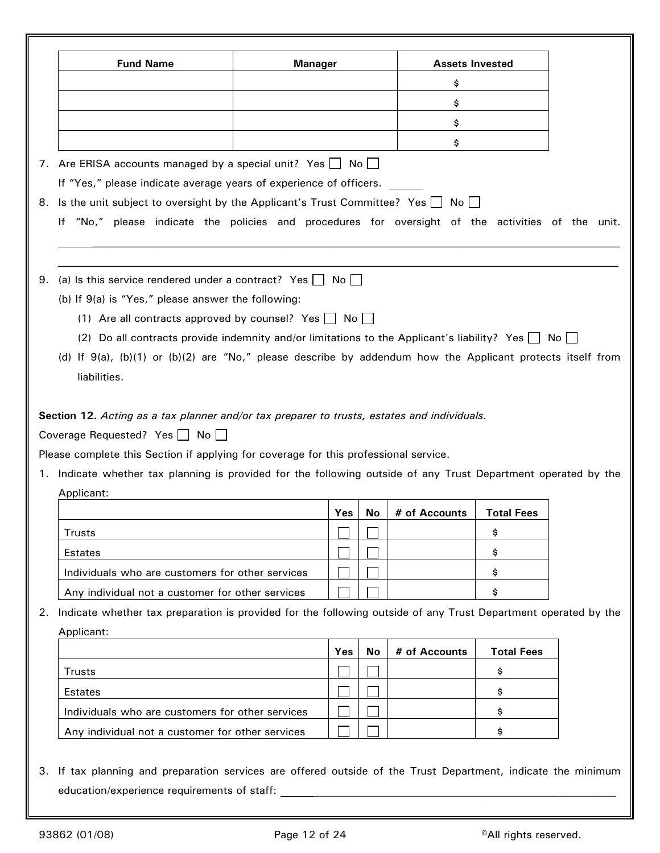|    | <b>Fund Name</b>                                                                                               | <b>Manager</b> |           | <b>Assets Invested</b> |                   |  |
|----|----------------------------------------------------------------------------------------------------------------|----------------|-----------|------------------------|-------------------|--|
|    |                                                                                                                |                |           | \$                     |                   |  |
|    |                                                                                                                |                |           | \$                     |                   |  |
|    |                                                                                                                |                |           | \$                     |                   |  |
|    |                                                                                                                |                |           | \$                     |                   |  |
|    | 7. Are ERISA accounts managed by a special unit? Yes   No                                                      |                |           |                        |                   |  |
|    | If "Yes," please indicate average years of experience of officers.                                             |                |           |                        |                   |  |
|    | 8. Is the unit subject to oversight by the Applicant's Trust Committee? Yes   No                               |                |           |                        |                   |  |
|    | If "No," please indicate the policies and procedures for oversight of the activities of the unit.              |                |           |                        |                   |  |
|    |                                                                                                                |                |           |                        |                   |  |
|    | 9. (a) Is this service rendered under a contract? Yes $\Box$ No $\Box$                                         |                |           |                        |                   |  |
|    | (b) If 9(a) is "Yes," please answer the following:                                                             |                |           |                        |                   |  |
|    | (1) Are all contracts approved by counsel? Yes $\Box$ No $\Box$                                                |                |           |                        |                   |  |
|    | (2) Do all contracts provide indemnity and/or limitations to the Applicant's liability? Yes $\Box$ No $\Box$   |                |           |                        |                   |  |
|    |                                                                                                                |                |           |                        |                   |  |
|    |                                                                                                                |                |           |                        |                   |  |
|    | (d) If 9(a), (b)(1) or (b)(2) are "No," please describe by addendum how the Applicant protects itself from     |                |           |                        |                   |  |
|    | liabilities.                                                                                                   |                |           |                        |                   |  |
|    |                                                                                                                |                |           |                        |                   |  |
|    | Section 12. Acting as a tax planner and/or tax preparer to trusts, estates and individuals.                    |                |           |                        |                   |  |
|    | Coverage Requested? Yes No                                                                                     |                |           |                        |                   |  |
|    | Please complete this Section if applying for coverage for this professional service.                           |                |           |                        |                   |  |
|    | 1. Indicate whether tax planning is provided for the following outside of any Trust Department operated by the |                |           |                        |                   |  |
|    | Applicant:                                                                                                     |                |           |                        |                   |  |
|    |                                                                                                                |                | Yes<br>No | # of Accounts          | <b>Total Fees</b> |  |
|    | <b>Trusts</b>                                                                                                  |                |           |                        | \$                |  |
|    | Estates                                                                                                        |                |           |                        | \$                |  |
|    | Individuals who are customers for other services                                                               |                |           |                        | \$                |  |
|    | Any individual not a customer for other services                                                               |                |           |                        | \$                |  |
| 2. | Indicate whether tax preparation is provided for the following outside of any Trust Department operated by the |                |           |                        |                   |  |
|    | Applicant:                                                                                                     |                |           |                        |                   |  |
|    |                                                                                                                |                | Yes<br>No | # of Accounts          | <b>Total Fees</b> |  |
|    | <b>Trusts</b>                                                                                                  |                |           |                        | \$                |  |
|    | Estates                                                                                                        |                |           |                        | \$                |  |
|    | Individuals who are customers for other services                                                               |                |           |                        | \$                |  |

3. If tax planning and preparation services are offered outside of the Trust Department, indicate the minimum education/experience requirements of staff: \_\_\_\_\_\_\_\_\_\_\_\_\_\_\_\_\_\_\_\_\_\_\_\_\_\_\_\_\_\_\_\_\_\_\_\_\_\_\_\_\_\_\_\_\_\_\_\_\_\_\_\_\_\_\_\_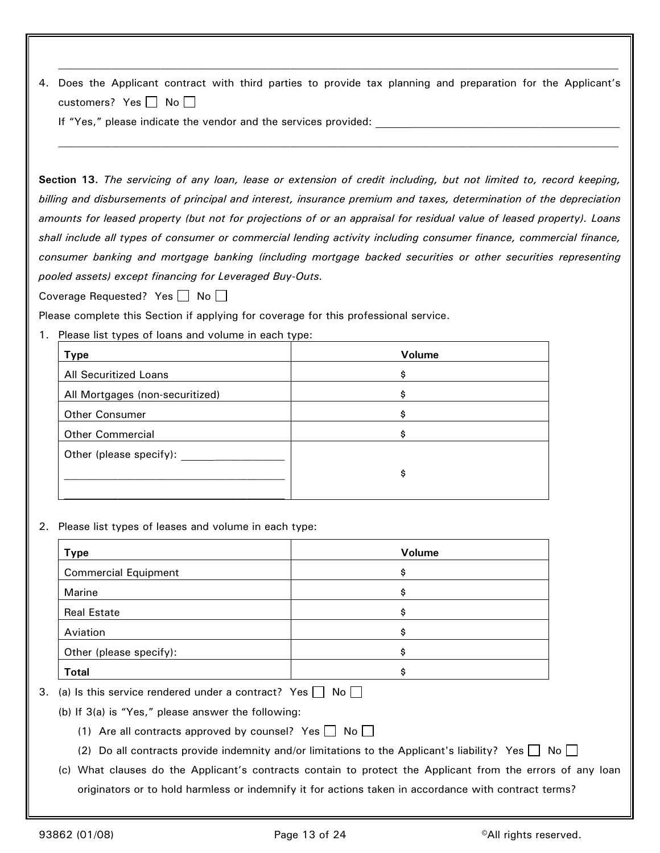4. Does the Applicant contract with third parties to provide tax planning and preparation for the Applicant's customers? Yes  $\Box$  No  $\Box$ 

 $\mathcal{L}_\text{max} = \mathcal{L}_\text{max} = \mathcal{L}_\text{max} = \mathcal{L}_\text{max} = \mathcal{L}_\text{max} = \mathcal{L}_\text{max} = \mathcal{L}_\text{max} = \mathcal{L}_\text{max} = \mathcal{L}_\text{max} = \mathcal{L}_\text{max} = \mathcal{L}_\text{max} = \mathcal{L}_\text{max} = \mathcal{L}_\text{max} = \mathcal{L}_\text{max} = \mathcal{L}_\text{max} = \mathcal{L}_\text{max} = \mathcal{L}_\text{max} = \mathcal{L}_\text{max} = \mathcal{$ 

 $\mathcal{L}_\text{max} = \mathcal{L}_\text{max} = \mathcal{L}_\text{max} = \mathcal{L}_\text{max} = \mathcal{L}_\text{max} = \mathcal{L}_\text{max} = \mathcal{L}_\text{max} = \mathcal{L}_\text{max} = \mathcal{L}_\text{max} = \mathcal{L}_\text{max} = \mathcal{L}_\text{max} = \mathcal{L}_\text{max} = \mathcal{L}_\text{max} = \mathcal{L}_\text{max} = \mathcal{L}_\text{max} = \mathcal{L}_\text{max} = \mathcal{L}_\text{max} = \mathcal{L}_\text{max} = \mathcal{$ 

If "Yes," please indicate the vendor and the services provided:

**Section 13.** *The servicing of any loan, lease or extension of credit including, but not limited to, record keeping, billing and disbursements of principal and interest, insurance premium and taxes, determination of the depreciation amounts for leased property (but not for projections of or an appraisal for residual value of leased property). Loans shall include all types of consumer or commercial lending activity including consumer finance, commercial finance, consumer banking and mortgage banking (including mortgage backed securities or other securities representing pooled assets) except financing for Leveraged Buy-Outs.*

Coverage Requested? Yes  $\Box$  No  $\Box$ 

Please complete this Section if applying for coverage for this professional service.

1. Please list types of loans and volume in each type:

| <b>Type</b>                     | Volume |
|---------------------------------|--------|
| All Securitized Loans           | Ŝ      |
| All Mortgages (non-securitized) | Ś      |
| <b>Other Consumer</b>           | \$     |
| <b>Other Commercial</b>         | Ś      |
| Other (please specify):         |        |
|                                 | \$     |
|                                 |        |

2. Please list types of leases and volume in each type:

| <b>Type</b>                 | Volume |
|-----------------------------|--------|
| <b>Commercial Equipment</b> | \$     |
| Marine                      | Ś      |
| <b>Real Estate</b>          | Ś      |
| Aviation                    | Ś      |
| Other (please specify):     | s      |
| <b>Total</b>                | Ś      |

3. (a) Is this service rendered under a contract? Yes  $\Box$  No  $\Box$ 

(b) If 3(a) is "Yes," please answer the following:

- (1) Are all contracts approved by counsel? Yes  $\Box$  No  $\Box$
- (2) Do all contracts provide indemnity and/or limitations to the Applicant's liability? Yes  $\Box$  No  $\Box$
- (c) What clauses do the Applicant's contracts contain to protect the Applicant from the errors of any loan originators or to hold harmless or indemnify it for actions taken in accordance with contract terms?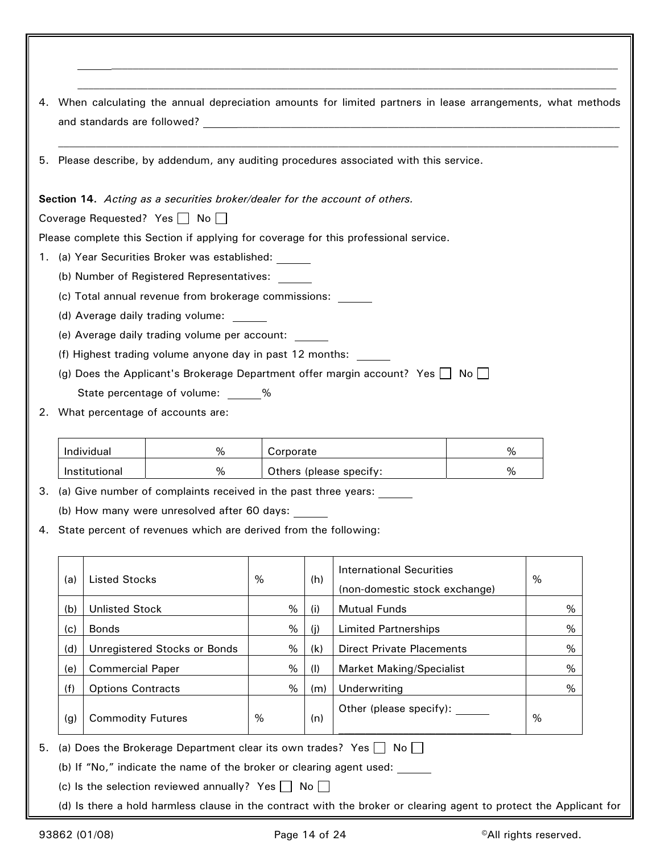| 4. |     |                                   |                                                                              |                                                  |             | When calculating the annual depreciation amounts for limited partners in lease arrangements, what methods          |   |   |  |
|----|-----|-----------------------------------|------------------------------------------------------------------------------|--------------------------------------------------|-------------|--------------------------------------------------------------------------------------------------------------------|---|---|--|
|    |     |                                   |                                                                              |                                                  |             | 5. Please describe, by addendum, any auditing procedures associated with this service.                             |   |   |  |
|    |     |                                   | Section 14. Acting as a securities broker/dealer for the account of others.  |                                                  |             |                                                                                                                    |   |   |  |
|    |     |                                   | Coverage Requested? Yes   No                                                 |                                                  |             |                                                                                                                    |   |   |  |
|    |     |                                   |                                                                              |                                                  |             | Please complete this Section if applying for coverage for this professional service.                               |   |   |  |
|    |     |                                   | 1. (a) Year Securities Broker was established: ______                        |                                                  |             |                                                                                                                    |   |   |  |
|    |     |                                   | (b) Number of Registered Representatives:                                    |                                                  |             |                                                                                                                    |   |   |  |
|    |     |                                   | (c) Total annual revenue from brokerage commissions: ______                  |                                                  |             |                                                                                                                    |   |   |  |
|    |     |                                   | (d) Average daily trading volume:                                            |                                                  |             |                                                                                                                    |   |   |  |
|    |     |                                   | (e) Average daily trading volume per account:                                |                                                  |             |                                                                                                                    |   |   |  |
|    |     |                                   | (f) Highest trading volume anyone day in past 12 months:                     |                                                  |             |                                                                                                                    |   |   |  |
|    |     |                                   |                                                                              |                                                  |             | (g) Does the Applicant's Brokerage Department offer margin account? Yes $\Box$ No $\Box$                           |   |   |  |
|    |     |                                   | State percentage of volume: %                                                |                                                  |             |                                                                                                                    |   |   |  |
| 2. |     |                                   | What percentage of accounts are:                                             |                                                  |             |                                                                                                                    |   |   |  |
|    |     | Individual<br>%<br>%<br>Corporate |                                                                              |                                                  |             |                                                                                                                    |   |   |  |
|    |     | Institutional                     | %                                                                            |                                                  |             | Others (please specify:                                                                                            | % |   |  |
| З. |     |                                   | (a) Give number of complaints received in the past three years:              |                                                  |             |                                                                                                                    |   |   |  |
|    |     |                                   | (b) How many were unresolved after 60 days: _____                            |                                                  |             |                                                                                                                    |   |   |  |
|    |     |                                   | 4. State percent of revenues which are derived from the following:           |                                                  |             |                                                                                                                    |   |   |  |
|    | (a) | <b>Listed Stocks</b>              |                                                                              | $\%$                                             | (h)         | <b>International Securities</b><br>(non-domestic stock exchange)                                                   |   | % |  |
|    | (b) | <b>Unlisted Stock</b>             |                                                                              | $\%$                                             | (i)         | <b>Mutual Funds</b>                                                                                                |   | % |  |
|    | (c) | <b>Bonds</b>                      |                                                                              |                                                  | $\%$<br>(i) | <b>Limited Partnerships</b>                                                                                        |   | % |  |
|    | (d) |                                   | Unregistered Stocks or Bonds                                                 |                                                  | $\%$<br>(k) | <b>Direct Private Placements</b>                                                                                   |   | % |  |
|    | (e) | <b>Commercial Paper</b>           |                                                                              | %<br>%<br><b>Market Making/Specialist</b><br>(1) |             |                                                                                                                    |   |   |  |
|    | (f) | <b>Options Contracts</b>          |                                                                              |                                                  | %<br>(m)    | Underwriting                                                                                                       |   | % |  |
|    | (g) | <b>Commodity Futures</b>          |                                                                              | %                                                | (n)         | Other (please specify):                                                                                            |   | % |  |
| 5. |     |                                   | (a) Does the Brokerage Department clear its own trades? Yes $\Box$ No $\Box$ |                                                  |             |                                                                                                                    |   |   |  |
|    |     |                                   | (b) If "No," indicate the name of the broker or clearing agent used:         |                                                  |             |                                                                                                                    |   |   |  |
|    |     |                                   | (c) Is the selection reviewed annually? Yes $\Box$ No $\Box$                 |                                                  |             |                                                                                                                    |   |   |  |
|    |     |                                   |                                                                              |                                                  |             | (d) Is there a hold harmless clause in the contract with the broker or clearing agent to protect the Applicant for |   |   |  |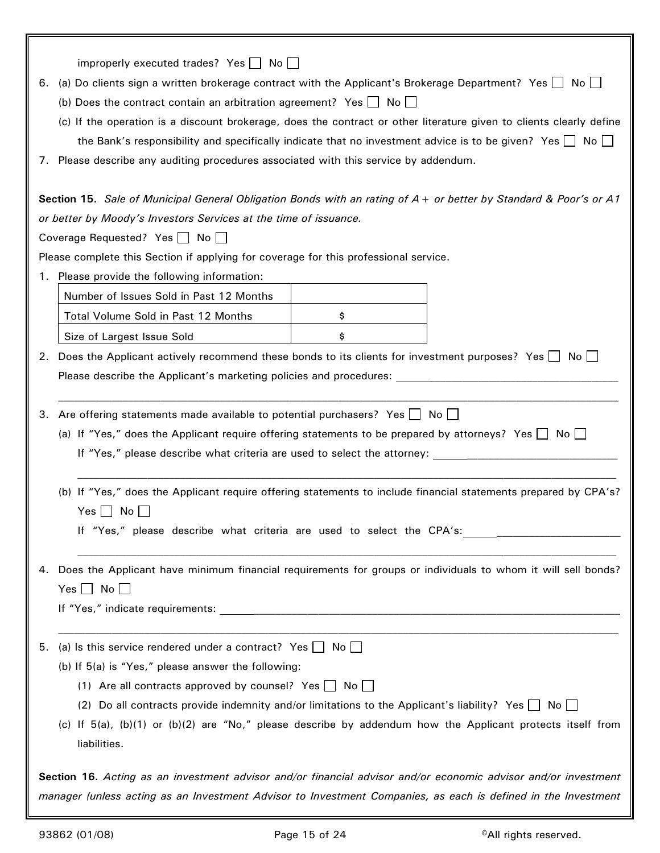| 6.<br>$\mathcal{L}$ . | improperly executed trades? Yes $\Box$ No $\Box$<br>(a) Do clients sign a written brokerage contract with the Applicant's Brokerage Department? Yes $\Box$ No<br>(b) Does the contract contain an arbitration agreement? Yes $\Box$ No $\Box$<br>(c) If the operation is a discount brokerage, does the contract or other literature given to clients clearly define<br>the Bank's responsibility and specifically indicate that no investment advice is to be given? Yes $\Box$ No $\Box$<br>Please describe any auditing procedures associated with this service by addendum. |  |  |  |  |
|-----------------------|---------------------------------------------------------------------------------------------------------------------------------------------------------------------------------------------------------------------------------------------------------------------------------------------------------------------------------------------------------------------------------------------------------------------------------------------------------------------------------------------------------------------------------------------------------------------------------|--|--|--|--|
|                       | Section 15. Sale of Municipal General Obligation Bonds with an rating of A + or better by Standard & Poor's or A1                                                                                                                                                                                                                                                                                                                                                                                                                                                               |  |  |  |  |
|                       | or better by Moody's Investors Services at the time of issuance.                                                                                                                                                                                                                                                                                                                                                                                                                                                                                                                |  |  |  |  |
|                       | Coverage Requested? Yes □ No                                                                                                                                                                                                                                                                                                                                                                                                                                                                                                                                                    |  |  |  |  |
|                       | Please complete this Section if applying for coverage for this professional service.                                                                                                                                                                                                                                                                                                                                                                                                                                                                                            |  |  |  |  |
| 1.                    | Please provide the following information:                                                                                                                                                                                                                                                                                                                                                                                                                                                                                                                                       |  |  |  |  |
|                       | Number of Issues Sold in Past 12 Months                                                                                                                                                                                                                                                                                                                                                                                                                                                                                                                                         |  |  |  |  |
|                       | Total Volume Sold in Past 12 Months<br>\$                                                                                                                                                                                                                                                                                                                                                                                                                                                                                                                                       |  |  |  |  |
|                       | Size of Largest Issue Sold<br>\$                                                                                                                                                                                                                                                                                                                                                                                                                                                                                                                                                |  |  |  |  |
| 2.                    | Does the Applicant actively recommend these bonds to its clients for investment purposes? Yes $\Box$ No $\Box$                                                                                                                                                                                                                                                                                                                                                                                                                                                                  |  |  |  |  |
|                       | Please describe the Applicant's marketing policies and procedures:                                                                                                                                                                                                                                                                                                                                                                                                                                                                                                              |  |  |  |  |
| 3.                    | Are offering statements made available to potential purchasers? Yes $\Box$ No $\Box$<br>(a) If "Yes," does the Applicant require offering statements to be prepared by attorneys? Yes $\Box$ No $\Box$<br>If "Yes," please describe what criteria are used to select the attorney: ___________________________                                                                                                                                                                                                                                                                  |  |  |  |  |
|                       | (b) If "Yes," does the Applicant require offering statements to include financial statements prepared by CPA's?<br>$Yes \Box No \Box$                                                                                                                                                                                                                                                                                                                                                                                                                                           |  |  |  |  |
|                       | 4. Does the Applicant have minimum financial requirements for groups or individuals to whom it will sell bonds?<br>Yes $\Box$ No $\Box$                                                                                                                                                                                                                                                                                                                                                                                                                                         |  |  |  |  |
| 5.                    | (a) Is this service rendered under a contract? Yes $\Box$ No $\Box$<br>(b) If 5(a) is "Yes," please answer the following:<br>(1) Are all contracts approved by counsel? Yes $\Box$ No $\Box$<br>(2) Do all contracts provide indemnity and/or limitations to the Applicant's liability? Yes $\Box$ No $\Box$<br>(c) If 5(a), (b)(1) or (b)(2) are "No," please describe by addendum how the Applicant protects itself from                                                                                                                                                      |  |  |  |  |
|                       | liabilities.<br>Section 16. Acting as an investment advisor and/or financial advisor and/or economic advisor and/or investment                                                                                                                                                                                                                                                                                                                                                                                                                                                  |  |  |  |  |
|                       | manager (unless acting as an Investment Advisor to Investment Companies, as each is defined in the Investment                                                                                                                                                                                                                                                                                                                                                                                                                                                                   |  |  |  |  |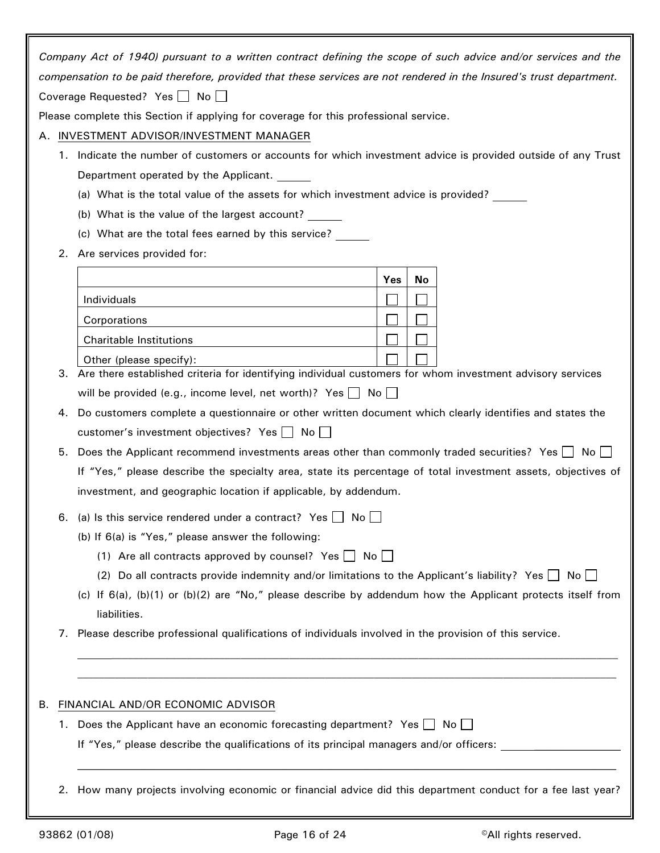|                                                                                                                     |                              | Company Act of 1940) pursuant to a written contract defining the scope of such advice and/or services and the              |     |  |    |  |  |  |
|---------------------------------------------------------------------------------------------------------------------|------------------------------|----------------------------------------------------------------------------------------------------------------------------|-----|--|----|--|--|--|
| compensation to be paid therefore, provided that these services are not rendered in the Insured's trust department. |                              |                                                                                                                            |     |  |    |  |  |  |
|                                                                                                                     | Coverage Requested? Yes   No |                                                                                                                            |     |  |    |  |  |  |
|                                                                                                                     |                              | Please complete this Section if applying for coverage for this professional service.                                       |     |  |    |  |  |  |
| А.                                                                                                                  |                              | INVESTMENT ADVISOR/INVESTMENT MANAGER                                                                                      |     |  |    |  |  |  |
|                                                                                                                     |                              | 1. Indicate the number of customers or accounts for which investment advice is provided outside of any Trust               |     |  |    |  |  |  |
|                                                                                                                     |                              | Department operated by the Applicant.                                                                                      |     |  |    |  |  |  |
|                                                                                                                     |                              | (a) What is the total value of the assets for which investment advice is provided?                                         |     |  |    |  |  |  |
|                                                                                                                     |                              | (b) What is the value of the largest account?                                                                              |     |  |    |  |  |  |
|                                                                                                                     |                              | (c) What are the total fees earned by this service?                                                                        |     |  |    |  |  |  |
|                                                                                                                     | 2.                           | Are services provided for:                                                                                                 |     |  |    |  |  |  |
|                                                                                                                     |                              |                                                                                                                            | Yes |  | No |  |  |  |
|                                                                                                                     |                              | Individuals                                                                                                                |     |  |    |  |  |  |
|                                                                                                                     |                              | Corporations                                                                                                               |     |  |    |  |  |  |
|                                                                                                                     |                              | <b>Charitable Institutions</b>                                                                                             |     |  |    |  |  |  |
|                                                                                                                     |                              | Other (please specify):                                                                                                    |     |  |    |  |  |  |
|                                                                                                                     | З.                           | Are there established criteria for identifying individual customers for whom investment advisory services                  |     |  |    |  |  |  |
|                                                                                                                     |                              | will be provided (e.g., income level, net worth)? Yes $\Box$ No $\Box$                                                     |     |  |    |  |  |  |
|                                                                                                                     | 4.                           | Do customers complete a questionnaire or other written document which clearly identifies and states the                    |     |  |    |  |  |  |
|                                                                                                                     |                              | customer's investment objectives? Yes   No                                                                                 |     |  |    |  |  |  |
|                                                                                                                     | 5.                           | Does the Applicant recommend investments areas other than commonly traded securities? Yes $\Box$ No                        |     |  |    |  |  |  |
|                                                                                                                     |                              | If "Yes," please describe the specialty area, state its percentage of total investment assets, objectives of               |     |  |    |  |  |  |
|                                                                                                                     |                              | investment, and geographic location if applicable, by addendum.                                                            |     |  |    |  |  |  |
|                                                                                                                     | 6.                           | (a) Is this service rendered under a contract? Yes $\Box$ No $\Box$                                                        |     |  |    |  |  |  |
|                                                                                                                     |                              | (b) If $6(a)$ is "Yes," please answer the following:                                                                       |     |  |    |  |  |  |
|                                                                                                                     |                              | (1) Are all contracts approved by counsel? Yes $\Box$ No $\Box$                                                            |     |  |    |  |  |  |
|                                                                                                                     |                              | (2) Do all contracts provide indemnity and/or limitations to the Applicant's liability? Yes $\Box$ No $\Box$               |     |  |    |  |  |  |
|                                                                                                                     |                              | (c) If 6(a), (b)(1) or (b)(2) are "No," please describe by addendum how the Applicant protects itself from<br>liabilities. |     |  |    |  |  |  |
|                                                                                                                     | 7.                           | Please describe professional qualifications of individuals involved in the provision of this service.                      |     |  |    |  |  |  |
|                                                                                                                     |                              |                                                                                                                            |     |  |    |  |  |  |
|                                                                                                                     |                              |                                                                                                                            |     |  |    |  |  |  |
| В.                                                                                                                  |                              | FINANCIAL AND/OR ECONOMIC ADVISOR                                                                                          |     |  |    |  |  |  |
|                                                                                                                     |                              | 1. Does the Applicant have an economic forecasting department? Yes $\Box$ No $\Box$                                        |     |  |    |  |  |  |
|                                                                                                                     |                              | If "Yes," please describe the qualifications of its principal managers and/or officers:                                    |     |  |    |  |  |  |
|                                                                                                                     |                              |                                                                                                                            |     |  |    |  |  |  |
|                                                                                                                     | 2.                           | How many projects involving economic or financial advice did this department conduct for a fee last year?                  |     |  |    |  |  |  |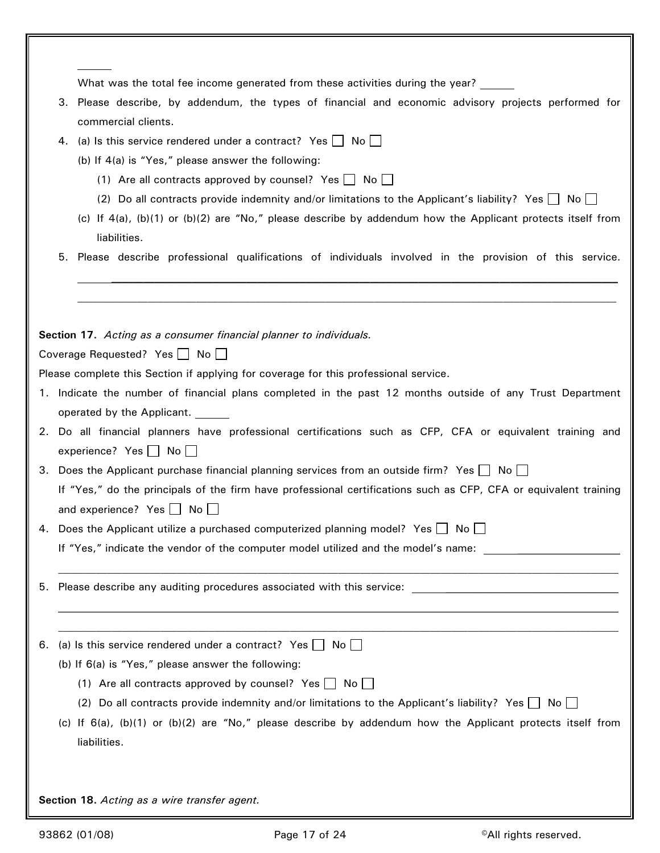|    | What was the total fee income generated from these activities during the year?                                                                           |
|----|----------------------------------------------------------------------------------------------------------------------------------------------------------|
|    | 3. Please describe, by addendum, the types of financial and economic advisory projects performed for<br>commercial clients.                              |
| 4. | (a) Is this service rendered under a contract? Yes $\Box$ No $\Box$                                                                                      |
|    | (b) If 4(a) is "Yes," please answer the following:                                                                                                       |
|    | (1) Are all contracts approved by counsel? Yes $\Box$ No $\Box$                                                                                          |
|    | (2) Do all contracts provide indemnity and/or limitations to the Applicant's liability? Yes $\Box$ No $\Box$                                             |
|    | (c) If $4(a)$ , (b)(1) or (b)(2) are "No," please describe by addendum how the Applicant protects itself from<br>liabilities.                            |
| 5. | Please describe professional qualifications of individuals involved in the provision of this service.                                                    |
|    |                                                                                                                                                          |
|    | Section 17. Acting as a consumer financial planner to individuals.                                                                                       |
|    | Coverage Requested? Yes $\Box$ No $\Box$                                                                                                                 |
|    | Please complete this Section if applying for coverage for this professional service.                                                                     |
|    | 1. Indicate the number of financial plans completed in the past 12 months outside of any Trust Department                                                |
|    | operated by the Applicant.                                                                                                                               |
|    | 2. Do all financial planners have professional certifications such as CFP, CFA or equivalent training and<br>experience? Yes $\Box$ No $\Box$            |
|    | 3. Does the Applicant purchase financial planning services from an outside firm? Yes No                                                                  |
|    | If "Yes," do the principals of the firm have professional certifications such as CFP, CFA or equivalent training<br>and experience? Yes $\Box$ No $\Box$ |
|    | 4. Does the Applicant utilize a purchased computerized planning model? Yes $\Box$ No $\Box$                                                              |
|    | If "Yes," indicate the vendor of the computer model utilized and the model's name:<br><u> 1980 - John Stein, mars and de Brandenberg (b. 1980)</u>       |
|    |                                                                                                                                                          |
|    | 6. (a) Is this service rendered under a contract? Yes No                                                                                                 |
|    | (b) If 6(a) is "Yes," please answer the following:                                                                                                       |
|    | (1) Are all contracts approved by counsel? Yes $\Box$ No $\Box$                                                                                          |
|    | (2) Do all contracts provide indemnity and/or limitations to the Applicant's liability? Yes $\Box$ No $\Box$                                             |
|    | (c) If 6(a), (b)(1) or (b)(2) are "No," please describe by addendum how the Applicant protects itself from<br>liabilities.                               |
|    | Section 18. Acting as a wire transfer agent.                                                                                                             |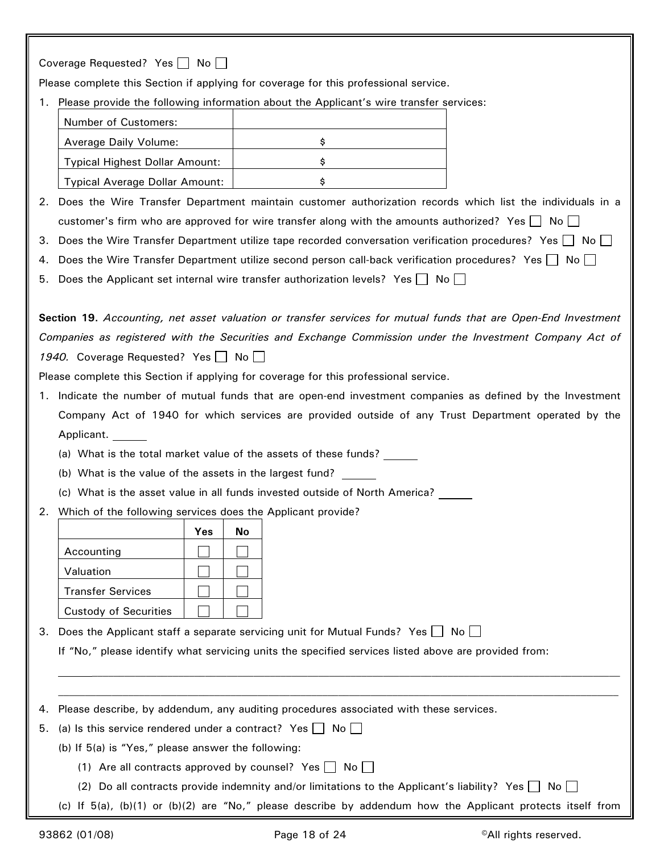| Coverage Requested? Yes No                                                                                               |
|--------------------------------------------------------------------------------------------------------------------------|
| Please complete this Section if applying for coverage for this professional service.                                     |
| 1. Please provide the following information about the Applicant's wire transfer services:                                |
| Number of Customers:                                                                                                     |
| Average Daily Volume:<br>\$                                                                                              |
| <b>Typical Highest Dollar Amount:</b><br>\$                                                                              |
| \$<br><b>Typical Average Dollar Amount:</b>                                                                              |
| 2. Does the Wire Transfer Department maintain customer authorization records which list the individuals in a             |
| customer's firm who are approved for wire transfer along with the amounts authorized? Yes $\Box$ No $\Box$               |
| Does the Wire Transfer Department utilize tape recorded conversation verification procedures? Yes $\Box$ No $\Box$<br>З. |
| Does the Wire Transfer Department utilize second person call-back verification procedures? Yes $\Box$ No $\Box$<br>4.    |
| Does the Applicant set internal wire transfer authorization levels? Yes $\Box$ No $\Box$<br>5.                           |
|                                                                                                                          |
| Section 19. Accounting, net asset valuation or transfer services for mutual funds that are Open-End Investment           |
| Companies as registered with the Securities and Exchange Commission under the Investment Company Act of                  |
| 1940. Coverage Requested? Yes No                                                                                         |
| Please complete this Section if applying for coverage for this professional service.                                     |
| Indicate the number of mutual funds that are open-end investment companies as defined by the Investment<br>1.            |
| Company Act of 1940 for which services are provided outside of any Trust Department operated by the                      |
| Applicant.                                                                                                               |
| (a) What is the total market value of the assets of these funds?                                                         |
| (b) What is the value of the assets in the largest fund?                                                                 |
| (c) What is the asset value in all funds invested outside of North America?                                              |
| 2. Which of the following services does the Applicant provide?                                                           |
| Yes<br>No                                                                                                                |
| Accounting                                                                                                               |
| Valuation                                                                                                                |
| <b>Transfer Services</b>                                                                                                 |
| <b>Custody of Securities</b>                                                                                             |
| Does the Applicant staff a separate servicing unit for Mutual Funds? Yes $\Box$ No $\Box$<br>З.                          |
| If "No," please identify what servicing units the specified services listed above are provided from:                     |
|                                                                                                                          |
|                                                                                                                          |
| Please describe, by addendum, any auditing procedures associated with these services.<br>4.                              |
| (a) Is this service rendered under a contract? Yes $\Box$ No $\Box$<br>5.                                                |
| (b) If 5(a) is "Yes," please answer the following:                                                                       |
| (1) Are all contracts approved by counsel? Yes $\Box$<br>Noll                                                            |
| (2) Do all contracts provide indemnity and/or limitations to the Applicant's liability? Yes $\Box$ No $\Box$             |
| (c) If $5(a)$ , (b)(1) or (b)(2) are "No," please describe by addendum how the Applicant protects itself from            |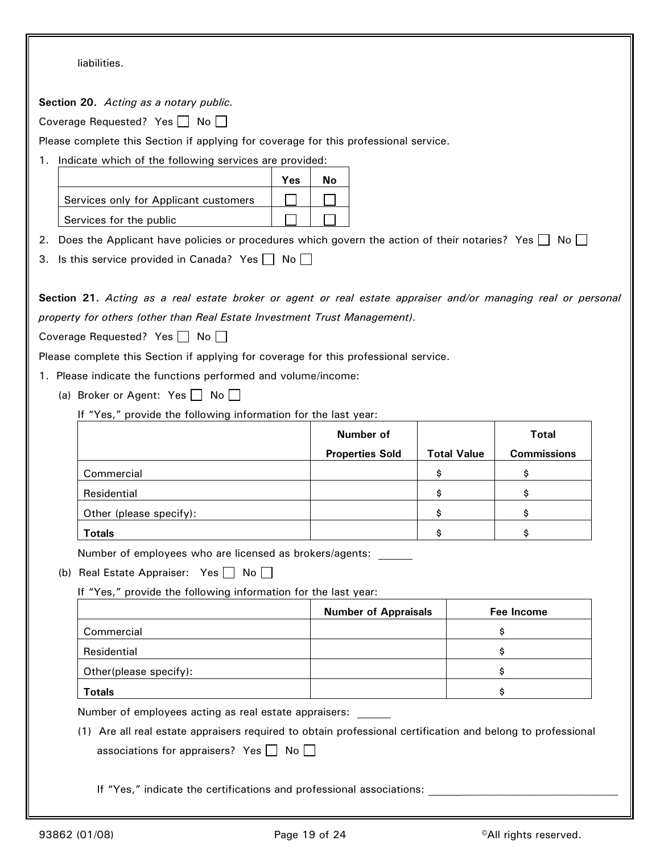|  | liabilities. |  |
|--|--------------|--|
|  |              |  |

**Section 20.** *Acting as a notary public.*

Coverage Requested? Yes  $\Box$  No  $\Box$ 

Please complete this Section if applying for coverage for this professional service.

1. Indicate which of the following services are provided:

|                                       | <b>Yes</b> | N٥ |
|---------------------------------------|------------|----|
| Services only for Applicant customers |            |    |
| Services for the public               |            |    |

- 2. Does the Applicant have policies or procedures which govern the action of their notaries? Yes  $\Box$  No  $\Box$
- 3. Is this service provided in Canada? Yes  $\Box$  No  $\Box$

**Section 21.** *Acting as a real estate broker or agent or real estate appraiser and/or managing real or personal property for others (other than Real Estate Investment Trust Management).*

Coverage Requested? Yes  $\Box$  No  $\Box$ 

Please complete this Section if applying for coverage for this professional service.

- 1. Please indicate the functions performed and volume/income:
	- (a) Broker or Agent: Yes  $\Box$  No  $\Box$

If "Yes," provide the following information for the last year:

|                         | Number of              |                    | <b>Total</b>       |
|-------------------------|------------------------|--------------------|--------------------|
|                         | <b>Properties Sold</b> | <b>Total Value</b> | <b>Commissions</b> |
| Commercial              |                        |                    |                    |
| Residential             |                        |                    |                    |
| Other (please specify): |                        |                    |                    |
| <b>Totals</b>           |                        |                    |                    |

Number of employees who are licensed as brokers/agents:

(b) Real Estate Appraiser: Yes  $\Box$  No  $\Box$ 

If "Yes," provide the following information for the last year:

|                        | <b>Number of Appraisals</b> | Fee Income |
|------------------------|-----------------------------|------------|
| Commercial             |                             |            |
| Residential            |                             |            |
| Other(please specify): |                             |            |
| <b>Totals</b>          |                             |            |

Number of employees acting as real estate appraisers:

(1) Are all real estate appraisers required to obtain professional certification and belong to professional associations for appraisers? Yes  $\Box$  No  $\Box$ 

If "Yes," indicate the certifications and professional associations: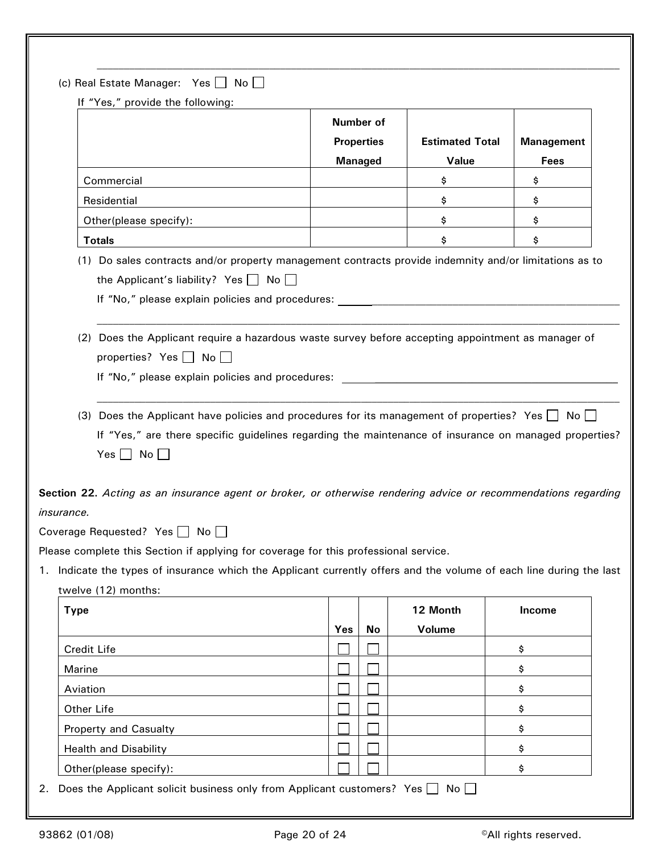| If "Yes," provide the following:                                                                                                                                                                                                                                                                                                                                                   |                                                  |    |                                 |                           |
|------------------------------------------------------------------------------------------------------------------------------------------------------------------------------------------------------------------------------------------------------------------------------------------------------------------------------------------------------------------------------------|--------------------------------------------------|----|---------------------------------|---------------------------|
|                                                                                                                                                                                                                                                                                                                                                                                    | Number of<br><b>Properties</b><br><b>Managed</b> |    | <b>Estimated Total</b><br>Value | <b>Management</b><br>Fees |
| Commercial                                                                                                                                                                                                                                                                                                                                                                         |                                                  |    | \$                              | \$                        |
| Residential                                                                                                                                                                                                                                                                                                                                                                        |                                                  |    | \$                              | \$                        |
| Other(please specify):                                                                                                                                                                                                                                                                                                                                                             |                                                  |    | \$                              | \$                        |
| <b>Totals</b>                                                                                                                                                                                                                                                                                                                                                                      |                                                  |    | \$                              | \$                        |
| If "No," please explain policies and procedures:<br>(2) Does the Applicant require a hazardous waste survey before accepting appointment as manager of<br>properties? Yes $\Box$ No $\Box$<br>If "No," please explain policies and procedures:                                                                                                                                     |                                                  |    |                                 |                           |
| (3) Does the Applicant have policies and procedures for its management of properties? Yes $\Box$ No $\Box$<br>If "Yes," are there specific guidelines regarding the maintenance of insurance on managed properties?<br>Yes $\Box$ No $\Box$<br>Section 22. Acting as an insurance agent or broker, or otherwise rendering advice or recommendations regarding<br><i>insurance.</i> |                                                  |    |                                 |                           |
|                                                                                                                                                                                                                                                                                                                                                                                    |                                                  |    |                                 |                           |
|                                                                                                                                                                                                                                                                                                                                                                                    |                                                  |    |                                 |                           |
|                                                                                                                                                                                                                                                                                                                                                                                    |                                                  |    |                                 |                           |
| Coverage Requested? Yes □ No □<br>Please complete this Section if applying for coverage for this professional service.<br>Indicate the types of insurance which the Applicant currently offers and the volume of each line during the last<br>twelve (12) months:                                                                                                                  |                                                  |    |                                 |                           |
|                                                                                                                                                                                                                                                                                                                                                                                    |                                                  |    | 12 Month                        | Income                    |
|                                                                                                                                                                                                                                                                                                                                                                                    | Yes                                              | No | Volume                          |                           |
|                                                                                                                                                                                                                                                                                                                                                                                    |                                                  |    |                                 | \$                        |
|                                                                                                                                                                                                                                                                                                                                                                                    |                                                  |    |                                 | \$                        |
|                                                                                                                                                                                                                                                                                                                                                                                    |                                                  |    |                                 | \$                        |
|                                                                                                                                                                                                                                                                                                                                                                                    |                                                  |    |                                 | \$                        |
| <b>Type</b><br>Credit Life<br>Marine<br>Aviation<br>Other Life<br>Property and Casualty<br><b>Health and Disability</b>                                                                                                                                                                                                                                                            |                                                  |    |                                 | \$<br>\$                  |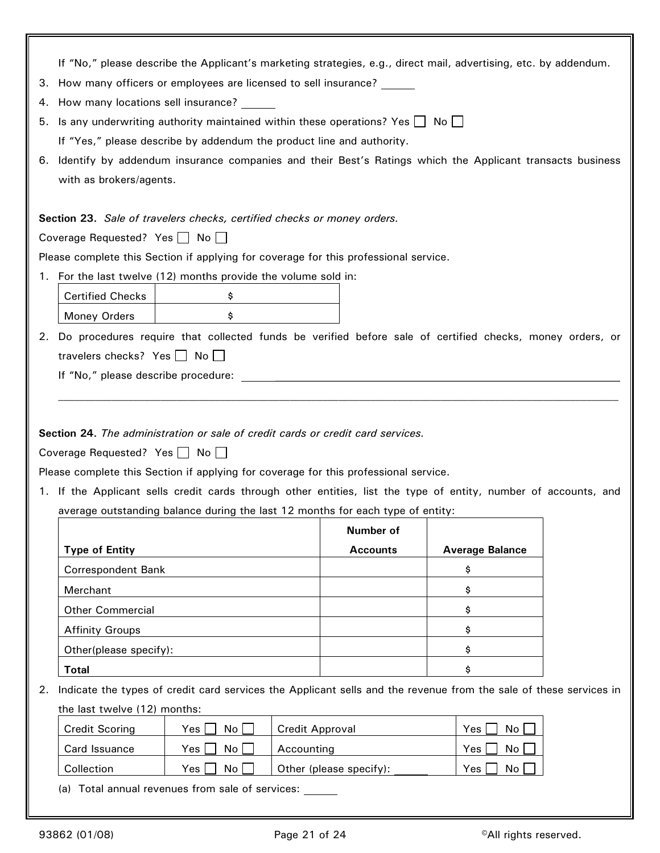|    | If "No," please describe the Applicant's marketing strategies, e.g., direct mail, advertising, etc. by addendum.                                                                                                              |                 |                        |  |  |  |
|----|-------------------------------------------------------------------------------------------------------------------------------------------------------------------------------------------------------------------------------|-----------------|------------------------|--|--|--|
| З. | How many officers or employees are licensed to sell insurance?                                                                                                                                                                |                 |                        |  |  |  |
|    | 4. How many locations sell insurance?                                                                                                                                                                                         |                 |                        |  |  |  |
| 5. | Is any underwriting authority maintained within these operations? Yes $\Box$ No $\Box$                                                                                                                                        |                 |                        |  |  |  |
|    | If "Yes," please describe by addendum the product line and authority.                                                                                                                                                         |                 |                        |  |  |  |
|    | 6. Identify by addendum insurance companies and their Best's Ratings which the Applicant transacts business                                                                                                                   |                 |                        |  |  |  |
|    | with as brokers/agents.                                                                                                                                                                                                       |                 |                        |  |  |  |
|    |                                                                                                                                                                                                                               |                 |                        |  |  |  |
|    | Section 23. Sale of travelers checks, certified checks or money orders.                                                                                                                                                       |                 |                        |  |  |  |
|    | Coverage Requested? Yes $\Box$ No $\Box$                                                                                                                                                                                      |                 |                        |  |  |  |
|    | Please complete this Section if applying for coverage for this professional service.                                                                                                                                          |                 |                        |  |  |  |
|    | 1. For the last twelve (12) months provide the volume sold in:                                                                                                                                                                |                 |                        |  |  |  |
|    | <b>Certified Checks</b><br>\$                                                                                                                                                                                                 |                 |                        |  |  |  |
|    | Money Orders<br>\$                                                                                                                                                                                                            |                 |                        |  |  |  |
|    | 2. Do procedures require that collected funds be verified before sale of certified checks, money orders, or                                                                                                                   |                 |                        |  |  |  |
|    | travelers checks? Yes   No                                                                                                                                                                                                    |                 |                        |  |  |  |
|    | If "No," please describe procedure: The state of the state of the state of the state of the state of the state of the state of the state of the state of the state of the state of the state of the state of the state of the |                 |                        |  |  |  |
|    |                                                                                                                                                                                                                               |                 |                        |  |  |  |
|    |                                                                                                                                                                                                                               |                 |                        |  |  |  |
|    | Section 24. The administration or sale of credit cards or credit card services.                                                                                                                                               |                 |                        |  |  |  |
|    | Coverage Requested? Yes   No                                                                                                                                                                                                  |                 |                        |  |  |  |
|    | Please complete this Section if applying for coverage for this professional service.                                                                                                                                          |                 |                        |  |  |  |
|    | 1. If the Applicant sells credit cards through other entities, list the type of entity, number of accounts, and                                                                                                               |                 |                        |  |  |  |
|    | average outstanding balance during the last 12 months for each type of entity:                                                                                                                                                |                 |                        |  |  |  |
|    |                                                                                                                                                                                                                               |                 |                        |  |  |  |
|    |                                                                                                                                                                                                                               | Number of       |                        |  |  |  |
|    | <b>Type of Entity</b>                                                                                                                                                                                                         | <b>Accounts</b> | <b>Average Balance</b> |  |  |  |
|    | <b>Correspondent Bank</b>                                                                                                                                                                                                     |                 | \$                     |  |  |  |
|    | Merchant                                                                                                                                                                                                                      |                 | \$                     |  |  |  |
|    | <b>Other Commercial</b>                                                                                                                                                                                                       |                 | \$                     |  |  |  |
|    | <b>Affinity Groups</b>                                                                                                                                                                                                        |                 | \$                     |  |  |  |
|    | Other(please specify):                                                                                                                                                                                                        |                 | \$                     |  |  |  |
|    | <b>Total</b>                                                                                                                                                                                                                  |                 | \$                     |  |  |  |
| 2. | Indicate the types of credit card services the Applicant sells and the revenue from the sale of these services in                                                                                                             |                 |                        |  |  |  |
|    | the last twelve (12) months:                                                                                                                                                                                                  |                 |                        |  |  |  |
|    | <b>Credit Scoring</b><br>No<br>Yes                                                                                                                                                                                            | Credit Approval | Yes<br>No              |  |  |  |
|    | Card Issuance<br>No<br>Accounting<br>Yes                                                                                                                                                                                      |                 | No<br>Yes              |  |  |  |

(a) Total annual revenues from sale of services: \_\_\_\_\_\_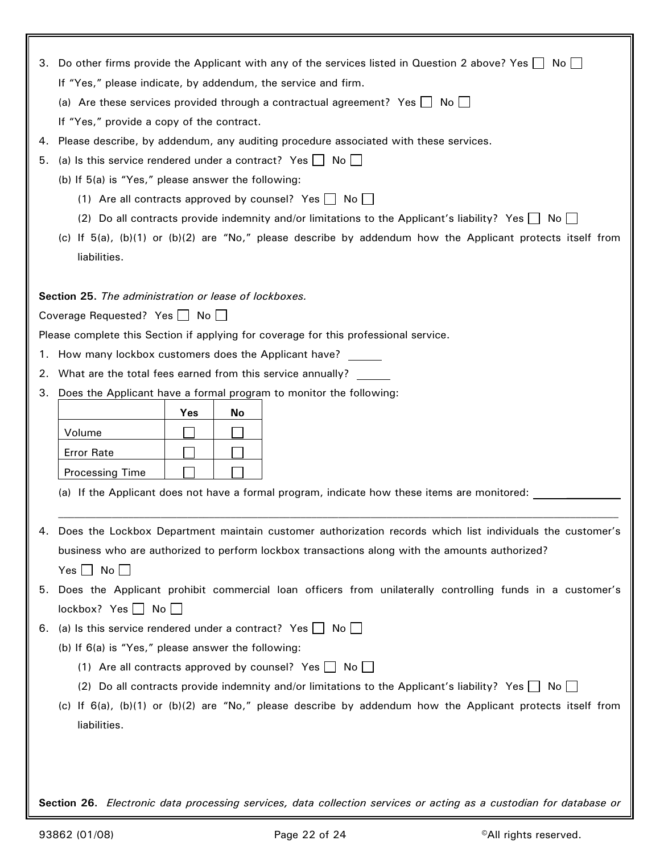|    | 3. Do other firms provide the Applicant with any of the services listed in Question 2 above? Yes $\Box$ No    |  |  |  |  |
|----|---------------------------------------------------------------------------------------------------------------|--|--|--|--|
|    | If "Yes," please indicate, by addendum, the service and firm.                                                 |  |  |  |  |
|    | (a) Are these services provided through a contractual agreement? Yes $\Box$ No $\Box$                         |  |  |  |  |
|    | If "Yes," provide a copy of the contract.                                                                     |  |  |  |  |
| 4. | Please describe, by addendum, any auditing procedure associated with these services.                          |  |  |  |  |
| 5. | (a) Is this service rendered under a contract? Yes $\Box$ No $\Box$                                           |  |  |  |  |
|    | (b) If 5(a) is "Yes," please answer the following:                                                            |  |  |  |  |
|    | (1) Are all contracts approved by counsel? Yes $\Box$ No $\Box$                                               |  |  |  |  |
|    | (2) Do all contracts provide indemnity and/or limitations to the Applicant's liability? Yes $\Box$ No         |  |  |  |  |
|    | (c) If $5(a)$ , (b)(1) or (b)(2) are "No," please describe by addendum how the Applicant protects itself from |  |  |  |  |
|    | liabilities.                                                                                                  |  |  |  |  |
|    |                                                                                                               |  |  |  |  |
|    | Section 25. The administration or lease of lockboxes.                                                         |  |  |  |  |
|    | Coverage Requested? Yes No                                                                                    |  |  |  |  |
|    | Please complete this Section if applying for coverage for this professional service.                          |  |  |  |  |
| 1. | How many lockbox customers does the Applicant have? ______                                                    |  |  |  |  |
| 2. | What are the total fees earned from this service annually?                                                    |  |  |  |  |
| 3. | Does the Applicant have a formal program to monitor the following:                                            |  |  |  |  |
|    | Yes<br>No                                                                                                     |  |  |  |  |
|    | Volume                                                                                                        |  |  |  |  |
|    | <b>Error Rate</b>                                                                                             |  |  |  |  |
|    | <b>Processing Time</b>                                                                                        |  |  |  |  |
|    | (a) If the Applicant does not have a formal program, indicate how these items are monitored:                  |  |  |  |  |
|    |                                                                                                               |  |  |  |  |
|    | 4. Does the Lockbox Department maintain customer authorization records which list individuals the customer's  |  |  |  |  |
|    | business who are authorized to perform lockbox transactions along with the amounts authorized?                |  |  |  |  |
|    | Yes $\Box$ No $\Box$                                                                                          |  |  |  |  |
|    | 5. Does the Applicant prohibit commercial loan officers from unilaterally controlling funds in a customer's   |  |  |  |  |
|    | $lockbox?$ Yes $\Box$ No $\Box$                                                                               |  |  |  |  |
|    | 6. (a) Is this service rendered under a contract? Yes $\Box$ No $\Box$                                        |  |  |  |  |
|    | (b) If 6(a) is "Yes," please answer the following:                                                            |  |  |  |  |
|    | (1) Are all contracts approved by counsel? Yes $\Box$ No $\Box$                                               |  |  |  |  |
|    | (2) Do all contracts provide indemnity and/or limitations to the Applicant's liability? Yes $\Box$ No $\Box$  |  |  |  |  |
|    | (c) If $6(a)$ , (b)(1) or (b)(2) are "No," please describe by addendum how the Applicant protects itself from |  |  |  |  |
|    | liabilities.                                                                                                  |  |  |  |  |
|    |                                                                                                               |  |  |  |  |
|    |                                                                                                               |  |  |  |  |
|    |                                                                                                               |  |  |  |  |
|    |                                                                                                               |  |  |  |  |

**Section 26.** *Electronic data processing services, data collection services or acting as a custodian for database or*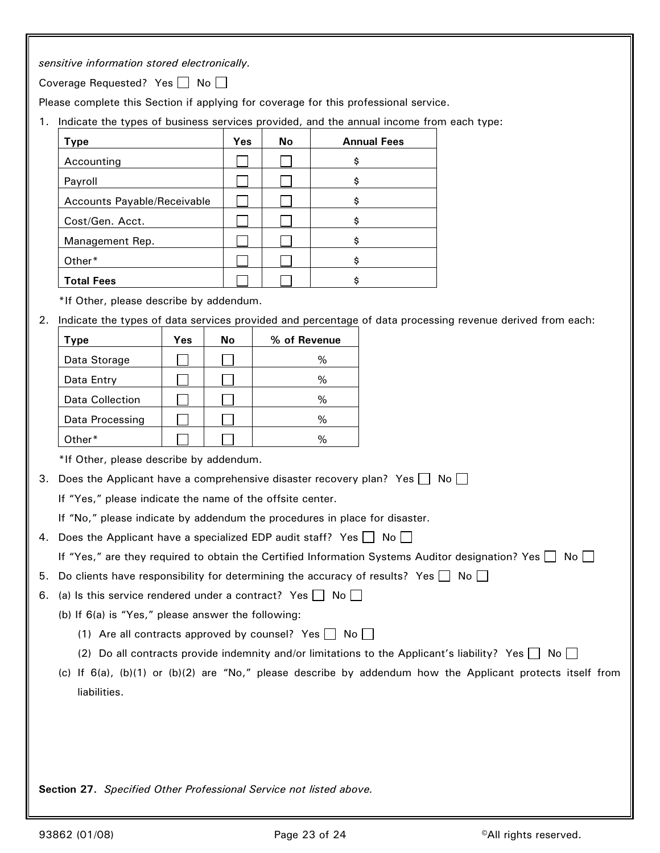*sensitive information stored electronically.*

Coverage Requested? Yes  $\Box$  No  $\Box$ 

Please complete this Section if applying for coverage for this professional service.

1. Indicate the types of business services provided, and the annual income from each type:

| Type                        | Yes | No | <b>Annual Fees</b> |
|-----------------------------|-----|----|--------------------|
| Accounting                  |     |    | \$                 |
| Payroll                     |     |    | \$                 |
| Accounts Payable/Receivable |     |    | \$                 |
| Cost/Gen. Acct.             |     |    | \$                 |
| Management Rep.             |     |    | \$                 |
| Other*                      |     |    | \$                 |
| <b>Total Fees</b>           |     |    | Ś                  |

\*If Other, please describe by addendum.

2. Indicate the types of data services provided and percentage of data processing revenue derived from each:

| Type            | Yes | No | % of Revenue |
|-----------------|-----|----|--------------|
| Data Storage    |     |    | %            |
| Data Entry      |     |    | %            |
| Data Collection |     |    | %            |
| Data Processing |     |    | ℅            |
| Other*          |     |    | $\%$         |

\*If Other, please describe by addendum.

3. Does the Applicant have a comprehensive disaster recovery plan? Yes  $\Box$  No  $\Box$ 

If "Yes," please indicate the name of the offsite center.

If "No," please indicate by addendum the procedures in place for disaster.

4. Does the Applicant have a specialized EDP audit staff? Yes  $\Box$  No  $\Box$ 

| If "Yes," are they required to obtain the Certified Information Systems Auditor designation? Yes $\Box$ No $\Box$ |  |
|-------------------------------------------------------------------------------------------------------------------|--|
|-------------------------------------------------------------------------------------------------------------------|--|

5. Do clients have responsibility for determining the accuracy of results? Yes  $\Box$  No  $\Box$ 

6. (a) Is this service rendered under a contract? Yes  $\Box$  No  $\Box$ 

(b) If 6(a) is "Yes," please answer the following:

- (1) Are all contracts approved by counsel? Yes  $\Box$  No  $\Box$
- (2) Do all contracts provide indemnity and/or limitations to the Applicant's liability? Yes  $\Box$  No  $\Box$
- (c) If 6(a), (b)(1) or (b)(2) are "No," please describe by addendum how the Applicant protects itself from liabilities.

**Section 27.** *Specified Other Professional Service not listed above.*